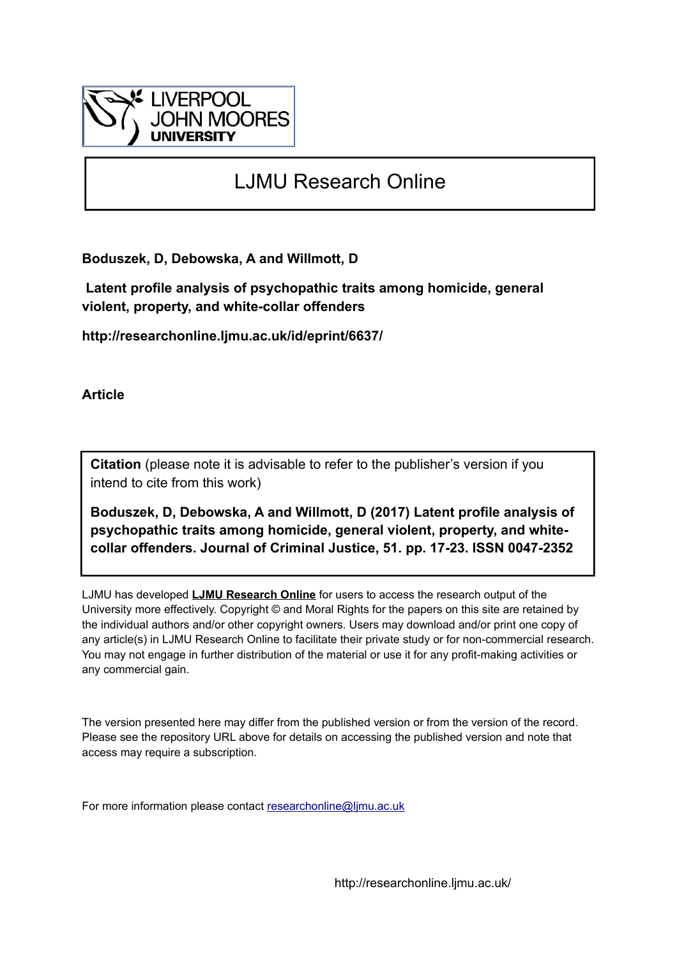

# LJMU Research Online

**Boduszek, D, Debowska, A and Willmott, D**

 **Latent profile analysis of psychopathic traits among homicide, general violent, property, and white-collar offenders**

**http://researchonline.ljmu.ac.uk/id/eprint/6637/**

**Article**

**Citation** (please note it is advisable to refer to the publisher's version if you intend to cite from this work)

**Boduszek, D, Debowska, A and Willmott, D (2017) Latent profile analysis of psychopathic traits among homicide, general violent, property, and whitecollar offenders. Journal of Criminal Justice, 51. pp. 17-23. ISSN 0047-2352** 

LJMU has developed **[LJMU Research Online](http://researchonline.ljmu.ac.uk/)** for users to access the research output of the University more effectively. Copyright © and Moral Rights for the papers on this site are retained by the individual authors and/or other copyright owners. Users may download and/or print one copy of any article(s) in LJMU Research Online to facilitate their private study or for non-commercial research. You may not engage in further distribution of the material or use it for any profit-making activities or any commercial gain.

The version presented here may differ from the published version or from the version of the record. Please see the repository URL above for details on accessing the published version and note that access may require a subscription.

For more information please contact [researchonline@ljmu.ac.uk](mailto:researchonline@ljmu.ac.uk)

http://researchonline.ljmu.ac.uk/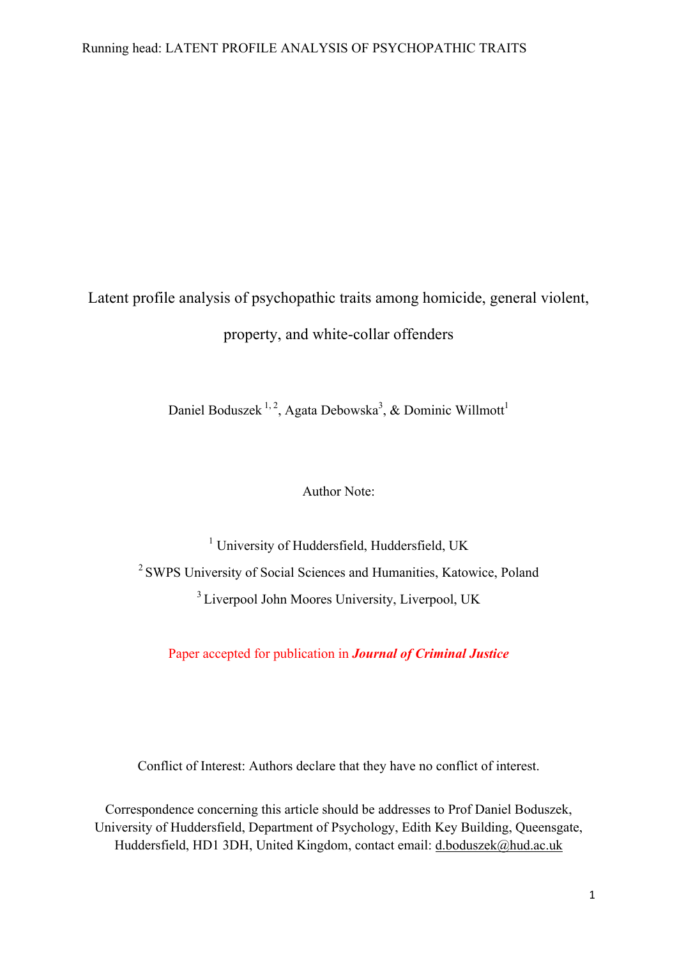# Latent profile analysis of psychopathic traits among homicide, general violent, property, and white-collar offenders

Daniel Boduszek<sup>1, 2</sup>, Agata Debowska<sup>3</sup>, & Dominic Willmott<sup>1</sup>

# Author Note:

<sup>1</sup> University of Huddersfield, Huddersfield, UK <sup>2</sup> SWPS University of Social Sciences and Humanities, Katowice, Poland <sup>3</sup> Liverpool John Moores University, Liverpool, UK

Paper accepted for publication in *Journal of Criminal Justice*

Conflict of Interest: Authors declare that they have no conflict of interest.

Correspondence concerning this article should be addresses to Prof Daniel Boduszek, University of Huddersfield, Department of Psychology, Edith Key Building, Queensgate, Huddersfield, HD1 3DH, United Kingdom, contact email: d.boduszek@hud.ac.uk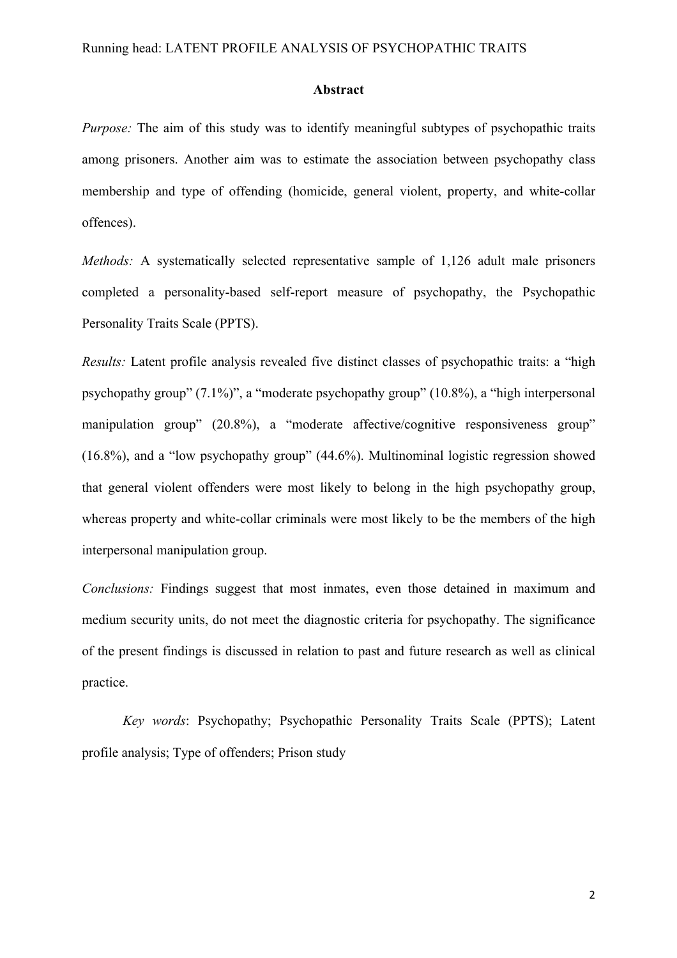#### **Abstract**

*Purpose:* The aim of this study was to identify meaningful subtypes of psychopathic traits among prisoners. Another aim was to estimate the association between psychopathy class membership and type of offending (homicide, general violent, property, and white-collar offences).

*Methods:* A systematically selected representative sample of 1,126 adult male prisoners completed a personality-based self-report measure of psychopathy, the Psychopathic Personality Traits Scale (PPTS).

*Results:* Latent profile analysis revealed five distinct classes of psychopathic traits: a "high psychopathy group" (7.1%)", a "moderate psychopathy group" (10.8%), a "high interpersonal manipulation group" (20.8%), a "moderate affective/cognitive responsiveness group" (16.8%), and a "low psychopathy group" (44.6%). Multinominal logistic regression showed that general violent offenders were most likely to belong in the high psychopathy group, whereas property and white-collar criminals were most likely to be the members of the high interpersonal manipulation group.

*Conclusions:* Findings suggest that most inmates, even those detained in maximum and medium security units, do not meet the diagnostic criteria for psychopathy. The significance of the present findings is discussed in relation to past and future research as well as clinical practice.

*Key words*: Psychopathy; Psychopathic Personality Traits Scale (PPTS); Latent profile analysis; Type of offenders; Prison study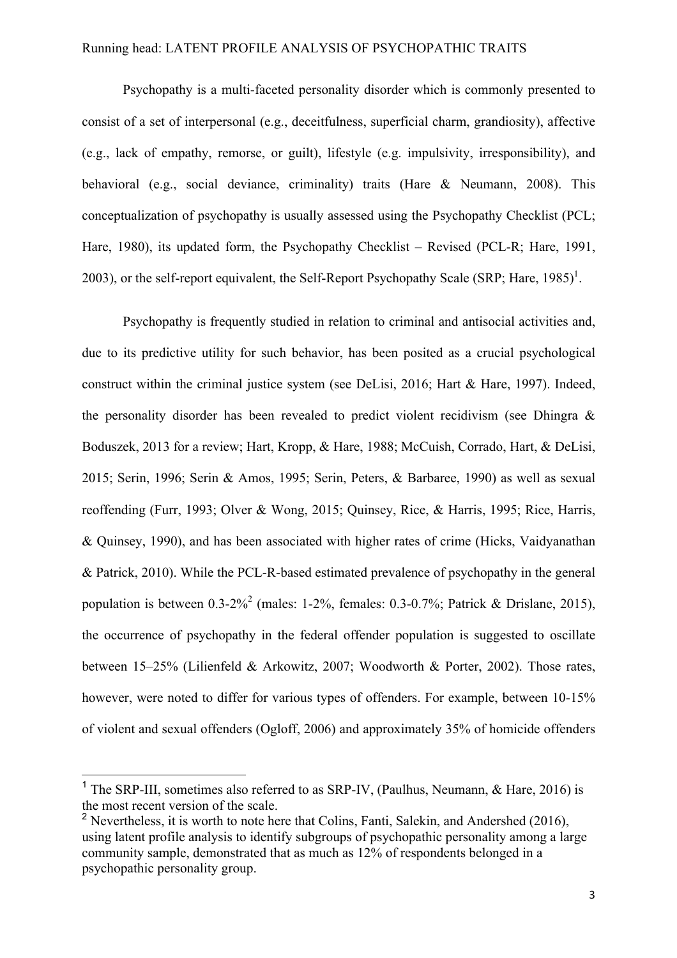Psychopathy is a multi-faceted personality disorder which is commonly presented to consist of a set of interpersonal (e.g., deceitfulness, superficial charm, grandiosity), affective (e.g., lack of empathy, remorse, or guilt), lifestyle (e.g. impulsivity, irresponsibility), and behavioral (e.g., social deviance, criminality) traits (Hare & Neumann, 2008). This conceptualization of psychopathy is usually assessed using the Psychopathy Checklist (PCL; Hare, 1980), its updated form, the Psychopathy Checklist – Revised (PCL-R; Hare, 1991, 2003), or the self-report equivalent, the Self-Report Psychopathy Scale (SRP; Hare, 1985)<sup>1</sup>.

Psychopathy is frequently studied in relation to criminal and antisocial activities and, due to its predictive utility for such behavior, has been posited as a crucial psychological construct within the criminal justice system (see DeLisi, 2016; Hart & Hare, 1997). Indeed, the personality disorder has been revealed to predict violent recidivism (see Dhingra & Boduszek, 2013 for a review; Hart, Kropp, & Hare, 1988; McCuish, Corrado, Hart, & DeLisi, 2015; Serin, 1996; Serin & Amos, 1995; Serin, Peters, & Barbaree, 1990) as well as sexual reoffending (Furr, 1993; Olver & Wong, 2015; Quinsey, Rice, & Harris, 1995; Rice, Harris, & Quinsey, 1990), and has been associated with higher rates of crime (Hicks, Vaidyanathan & Patrick, 2010). While the PCL-R-based estimated prevalence of psychopathy in the general population is between  $0.3-2\%$ <sup>2</sup> (males:  $1-2\%$ , females:  $0.3-0.7\%$ ; Patrick & Drislane, 2015), the occurrence of psychopathy in the federal offender population is suggested to oscillate between 15–25% (Lilienfeld & Arkowitz, 2007; Woodworth & Porter, 2002). Those rates, however, were noted to differ for various types of offenders. For example, between 10-15% of violent and sexual offenders (Ogloff, 2006) and approximately 35% of homicide offenders

<sup>&</sup>lt;sup>1</sup> The SRP-III, sometimes also referred to as SRP-IV, (Paulhus, Neumann,  $\&$  Hare, 2016) is the most recent version of the scale.

 $2$  Nevertheless, it is worth to note here that Colins, Fanti, Salekin, and Andershed (2016), using latent profile analysis to identify subgroups of psychopathic personality among a large community sample, demonstrated that as much as 12% of respondents belonged in a psychopathic personality group.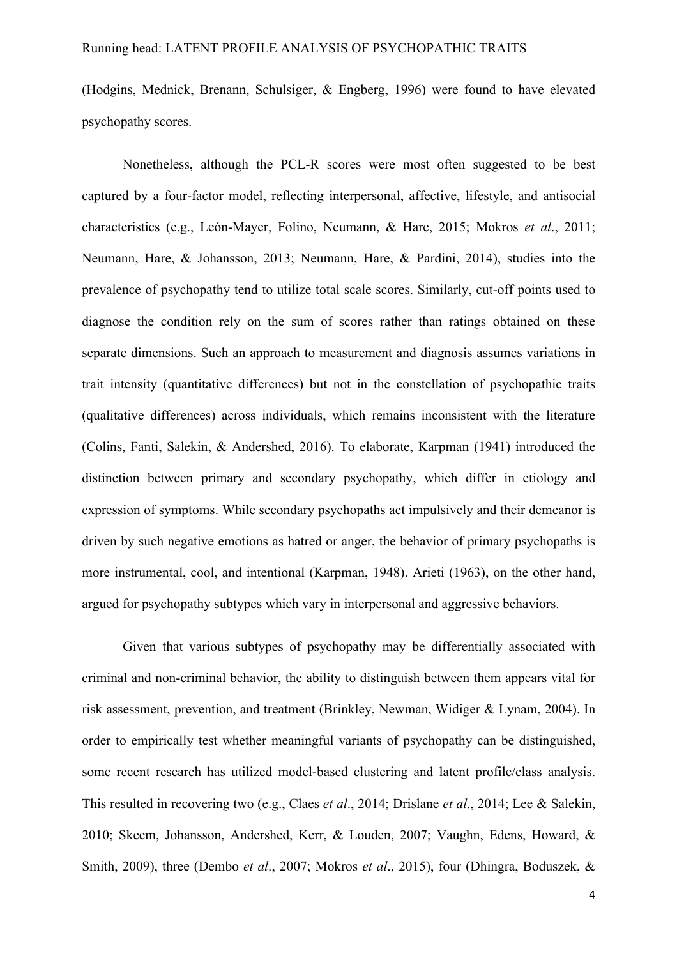(Hodgins, Mednick, Brenann, Schulsiger, & Engberg, 1996) were found to have elevated psychopathy scores.

Nonetheless, although the PCL-R scores were most often suggested to be best captured by a four-factor model, reflecting interpersonal, affective, lifestyle, and antisocial characteristics (e.g., León-Mayer, Folino, Neumann, & Hare, 2015; Mokros *et al*., 2011; Neumann, Hare, & Johansson, 2013; Neumann, Hare, & Pardini, 2014), studies into the prevalence of psychopathy tend to utilize total scale scores. Similarly, cut-off points used to diagnose the condition rely on the sum of scores rather than ratings obtained on these separate dimensions. Such an approach to measurement and diagnosis assumes variations in trait intensity (quantitative differences) but not in the constellation of psychopathic traits (qualitative differences) across individuals, which remains inconsistent with the literature (Colins, Fanti, Salekin, & Andershed, 2016). To elaborate, Karpman (1941) introduced the distinction between primary and secondary psychopathy, which differ in etiology and expression of symptoms. While secondary psychopaths act impulsively and their demeanor is driven by such negative emotions as hatred or anger, the behavior of primary psychopaths is more instrumental, cool, and intentional (Karpman, 1948). Arieti (1963), on the other hand, argued for psychopathy subtypes which vary in interpersonal and aggressive behaviors.

Given that various subtypes of psychopathy may be differentially associated with criminal and non-criminal behavior, the ability to distinguish between them appears vital for risk assessment, prevention, and treatment (Brinkley, Newman, Widiger & Lynam, 2004). In order to empirically test whether meaningful variants of psychopathy can be distinguished, some recent research has utilized model-based clustering and latent profile/class analysis. This resulted in recovering two (e.g., Claes *et al*., 2014; Drislane *et al*., 2014; Lee & Salekin, 2010; Skeem, Johansson, Andershed, Kerr, & Louden, 2007; Vaughn, Edens, Howard, & Smith, 2009), three (Dembo *et al*., 2007; Mokros *et al*., 2015), four (Dhingra, Boduszek, &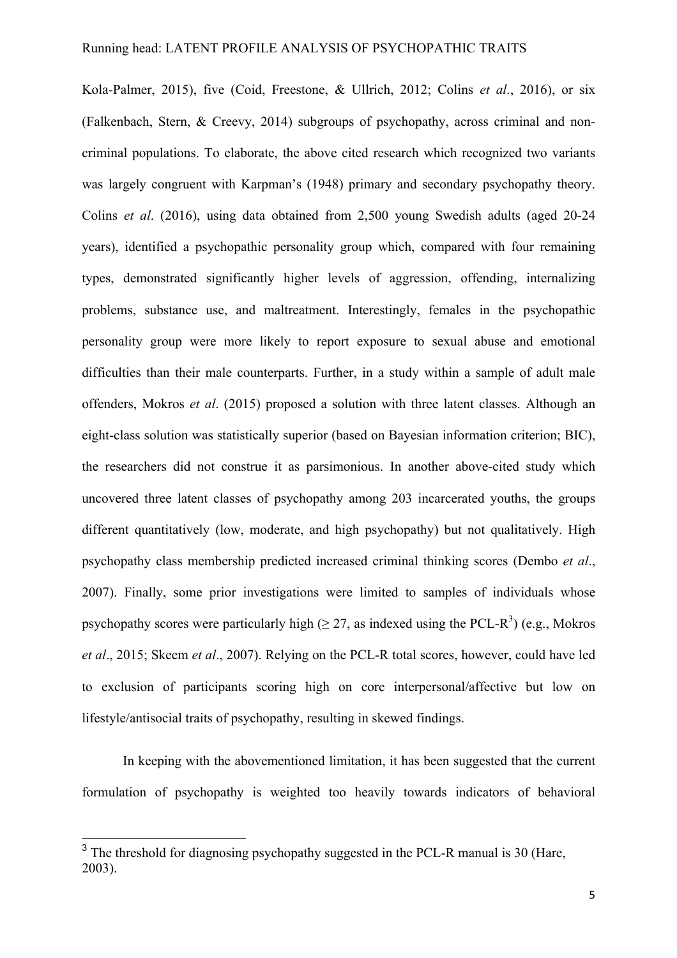Kola-Palmer, 2015), five (Coid, Freestone, & Ullrich, 2012; Colins *et al*., 2016), or six (Falkenbach, Stern, & Creevy, 2014) subgroups of psychopathy, across criminal and noncriminal populations. To elaborate, the above cited research which recognized two variants was largely congruent with Karpman's (1948) primary and secondary psychopathy theory. Colins *et al*. (2016), using data obtained from 2,500 young Swedish adults (aged 20-24 years), identified a psychopathic personality group which, compared with four remaining types, demonstrated significantly higher levels of aggression, offending, internalizing problems, substance use, and maltreatment. Interestingly, females in the psychopathic personality group were more likely to report exposure to sexual abuse and emotional difficulties than their male counterparts. Further, in a study within a sample of adult male offenders, Mokros *et al*. (2015) proposed a solution with three latent classes. Although an eight-class solution was statistically superior (based on Bayesian information criterion; BIC), the researchers did not construe it as parsimonious. In another above-cited study which uncovered three latent classes of psychopathy among 203 incarcerated youths, the groups different quantitatively (low, moderate, and high psychopathy) but not qualitatively. High psychopathy class membership predicted increased criminal thinking scores (Dembo *et al*., 2007). Finally, some prior investigations were limited to samples of individuals whose psychopathy scores were particularly high ( $\geq$  27, as indexed using the PCL-R<sup>3</sup>) (e.g., Mokros *et al*., 2015; Skeem *et al*., 2007). Relying on the PCL-R total scores, however, could have led to exclusion of participants scoring high on core interpersonal/affective but low on lifestyle/antisocial traits of psychopathy, resulting in skewed findings.

In keeping with the abovementioned limitation, it has been suggested that the current formulation of psychopathy is weighted too heavily towards indicators of behavioral

<sup>&</sup>lt;sup>3</sup> The threshold for diagnosing psychopathy suggested in the PCL-R manual is 30 (Hare, 2003).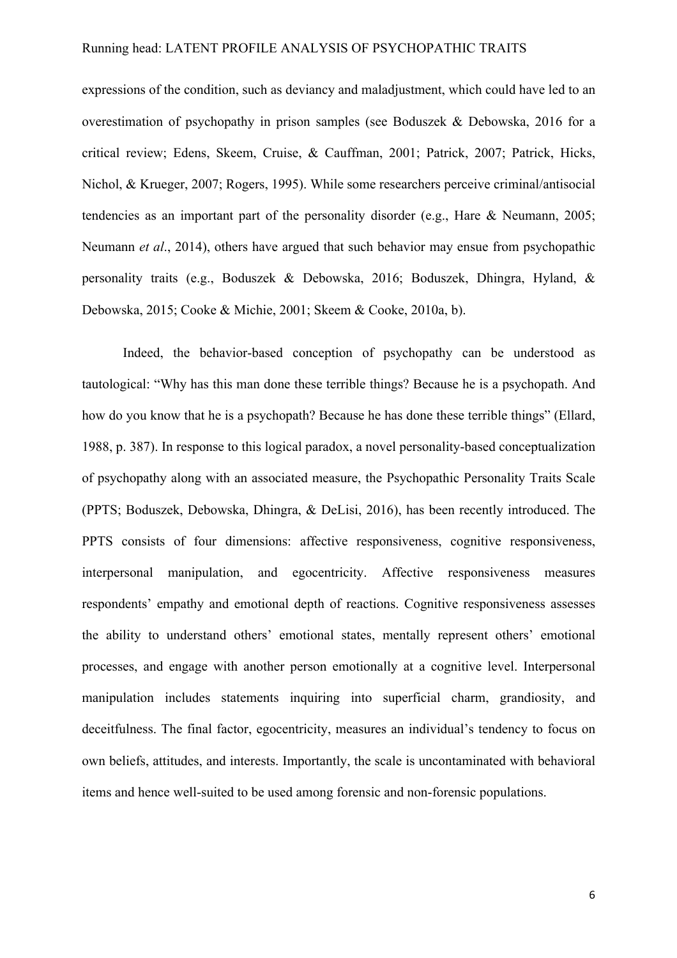expressions of the condition, such as deviancy and maladjustment, which could have led to an overestimation of psychopathy in prison samples (see Boduszek & Debowska, 2016 for a critical review; Edens, Skeem, Cruise, & Cauffman, 2001; Patrick, 2007; Patrick, Hicks, Nichol, & Krueger, 2007; Rogers, 1995). While some researchers perceive criminal/antisocial tendencies as an important part of the personality disorder (e.g., Hare & Neumann, 2005; Neumann *et al*., 2014), others have argued that such behavior may ensue from psychopathic personality traits (e.g., Boduszek & Debowska, 2016; Boduszek, Dhingra, Hyland, & Debowska, 2015; Cooke & Michie, 2001; Skeem & Cooke, 2010a, b).

Indeed, the behavior-based conception of psychopathy can be understood as tautological: "Why has this man done these terrible things? Because he is a psychopath. And how do you know that he is a psychopath? Because he has done these terrible things" (Ellard, 1988, p. 387). In response to this logical paradox, a novel personality-based conceptualization of psychopathy along with an associated measure, the Psychopathic Personality Traits Scale (PPTS; Boduszek, Debowska, Dhingra, & DeLisi, 2016), has been recently introduced. The PPTS consists of four dimensions: affective responsiveness, cognitive responsiveness, interpersonal manipulation, and egocentricity. Affective responsiveness measures respondents' empathy and emotional depth of reactions. Cognitive responsiveness assesses the ability to understand others' emotional states, mentally represent others' emotional processes, and engage with another person emotionally at a cognitive level. Interpersonal manipulation includes statements inquiring into superficial charm, grandiosity, and deceitfulness. The final factor, egocentricity, measures an individual's tendency to focus on own beliefs, attitudes, and interests. Importantly, the scale is uncontaminated with behavioral items and hence well-suited to be used among forensic and non-forensic populations.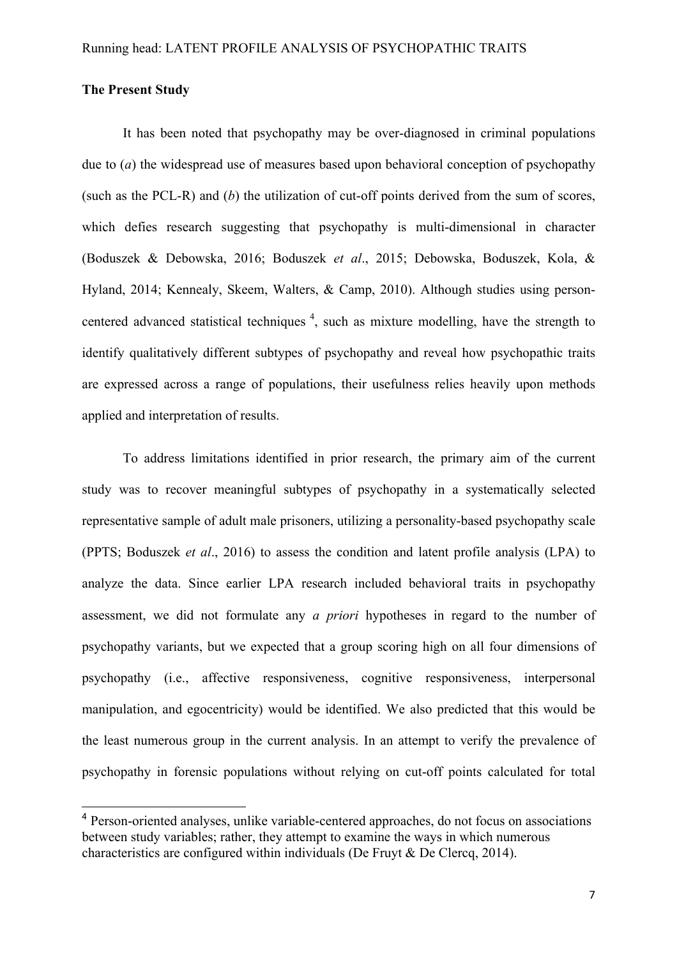# **The Present Study**

It has been noted that psychopathy may be over-diagnosed in criminal populations due to (*a*) the widespread use of measures based upon behavioral conception of psychopathy (such as the PCL-R) and (*b*) the utilization of cut-off points derived from the sum of scores, which defies research suggesting that psychopathy is multi-dimensional in character (Boduszek & Debowska, 2016; Boduszek *et al*., 2015; Debowska, Boduszek, Kola, & Hyland, 2014; Kennealy, Skeem, Walters, & Camp, 2010). Although studies using personcentered advanced statistical techniques  $4$ , such as mixture modelling, have the strength to identify qualitatively different subtypes of psychopathy and reveal how psychopathic traits are expressed across a range of populations, their usefulness relies heavily upon methods applied and interpretation of results.

To address limitations identified in prior research, the primary aim of the current study was to recover meaningful subtypes of psychopathy in a systematically selected representative sample of adult male prisoners, utilizing a personality-based psychopathy scale (PPTS; Boduszek *et al*., 2016) to assess the condition and latent profile analysis (LPA) to analyze the data. Since earlier LPA research included behavioral traits in psychopathy assessment, we did not formulate any *a priori* hypotheses in regard to the number of psychopathy variants, but we expected that a group scoring high on all four dimensions of psychopathy (i.e., affective responsiveness, cognitive responsiveness, interpersonal manipulation, and egocentricity) would be identified. We also predicted that this would be the least numerous group in the current analysis. In an attempt to verify the prevalence of psychopathy in forensic populations without relying on cut-off points calculated for total

<sup>&</sup>lt;sup>4</sup> Person-oriented analyses, unlike variable-centered approaches, do not focus on associations between study variables; rather, they attempt to examine the ways in which numerous characteristics are configured within individuals (De Fruyt & De Clercq, 2014).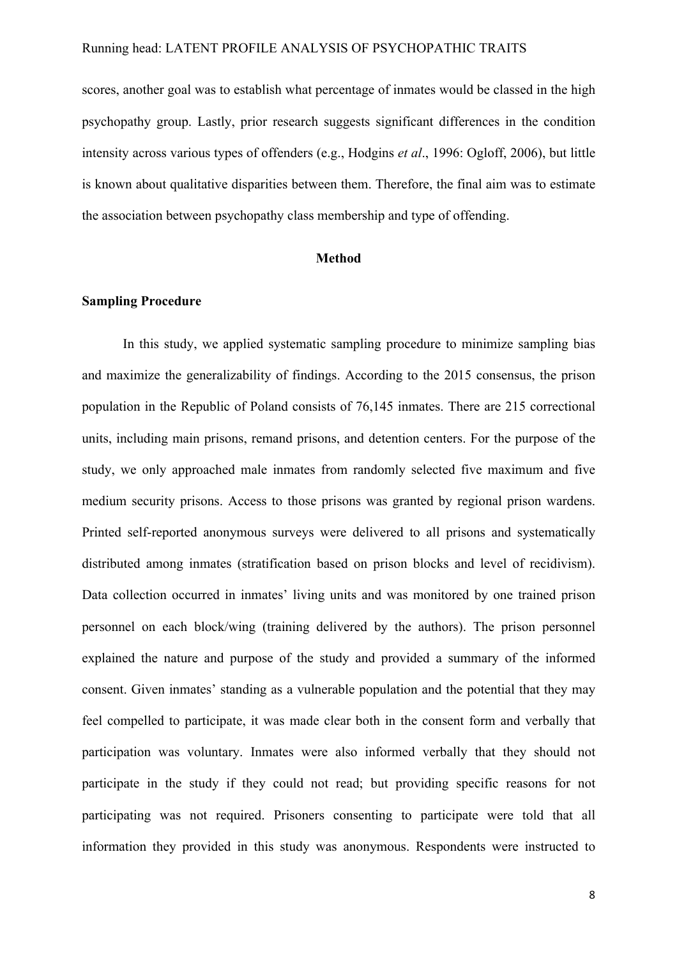scores, another goal was to establish what percentage of inmates would be classed in the high psychopathy group. Lastly, prior research suggests significant differences in the condition intensity across various types of offenders (e.g., Hodgins *et al*., 1996: Ogloff, 2006), but little is known about qualitative disparities between them. Therefore, the final aim was to estimate the association between psychopathy class membership and type of offending.

# **Method**

#### **Sampling Procedure**

In this study, we applied systematic sampling procedure to minimize sampling bias and maximize the generalizability of findings. According to the 2015 consensus, the prison population in the Republic of Poland consists of 76,145 inmates. There are 215 correctional units, including main prisons, remand prisons, and detention centers. For the purpose of the study, we only approached male inmates from randomly selected five maximum and five medium security prisons. Access to those prisons was granted by regional prison wardens. Printed self-reported anonymous surveys were delivered to all prisons and systematically distributed among inmates (stratification based on prison blocks and level of recidivism). Data collection occurred in inmates' living units and was monitored by one trained prison personnel on each block/wing (training delivered by the authors). The prison personnel explained the nature and purpose of the study and provided a summary of the informed consent. Given inmates' standing as a vulnerable population and the potential that they may feel compelled to participate, it was made clear both in the consent form and verbally that participation was voluntary. Inmates were also informed verbally that they should not participate in the study if they could not read; but providing specific reasons for not participating was not required. Prisoners consenting to participate were told that all information they provided in this study was anonymous. Respondents were instructed to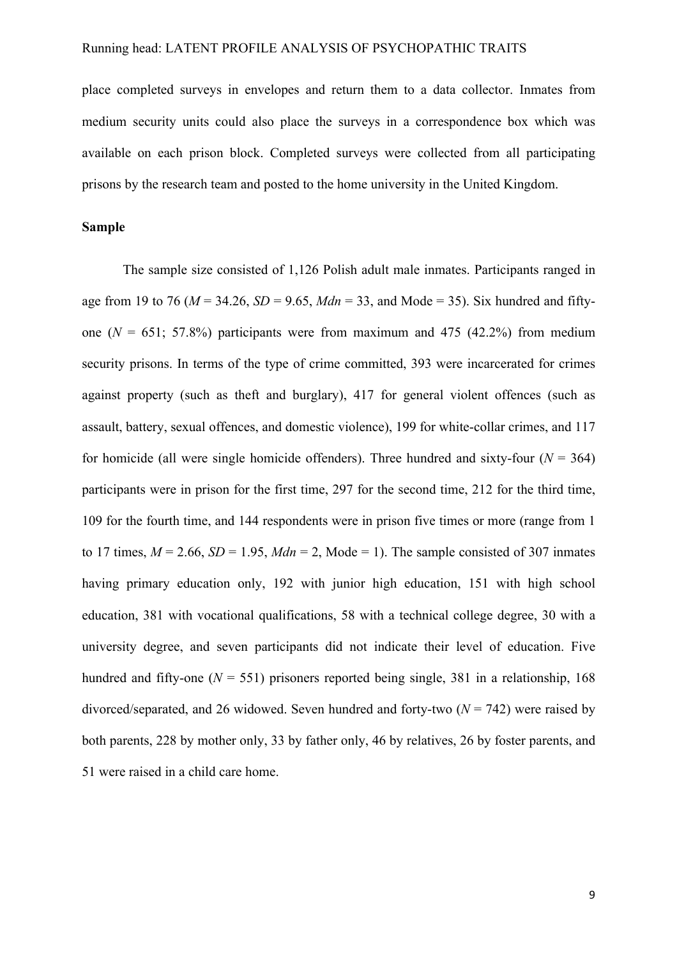place completed surveys in envelopes and return them to a data collector. Inmates from medium security units could also place the surveys in a correspondence box which was available on each prison block. Completed surveys were collected from all participating prisons by the research team and posted to the home university in the United Kingdom.

#### **Sample**

The sample size consisted of 1,126 Polish adult male inmates. Participants ranged in age from 19 to 76 ( $M = 34.26$ ,  $SD = 9.65$ ,  $Mdn = 33$ , and Mode = 35). Six hundred and fiftyone  $(N = 651; 57.8\%)$  participants were from maximum and 475 (42.2%) from medium security prisons. In terms of the type of crime committed, 393 were incarcerated for crimes against property (such as theft and burglary), 417 for general violent offences (such as assault, battery, sexual offences, and domestic violence), 199 for white-collar crimes, and 117 for homicide (all were single homicide offenders). Three hundred and sixty-four ( $N = 364$ ) participants were in prison for the first time, 297 for the second time, 212 for the third time, 109 for the fourth time, and 144 respondents were in prison five times or more (range from 1 to 17 times,  $M = 2.66$ ,  $SD = 1.95$ ,  $Mdn = 2$ , Mode = 1). The sample consisted of 307 inmates having primary education only, 192 with junior high education, 151 with high school education, 381 with vocational qualifications, 58 with a technical college degree, 30 with a university degree, and seven participants did not indicate their level of education. Five hundred and fifty-one ( $N = 551$ ) prisoners reported being single, 381 in a relationship, 168 divorced/separated, and 26 widowed. Seven hundred and forty-two  $(N = 742)$  were raised by both parents, 228 by mother only, 33 by father only, 46 by relatives, 26 by foster parents, and 51 were raised in a child care home.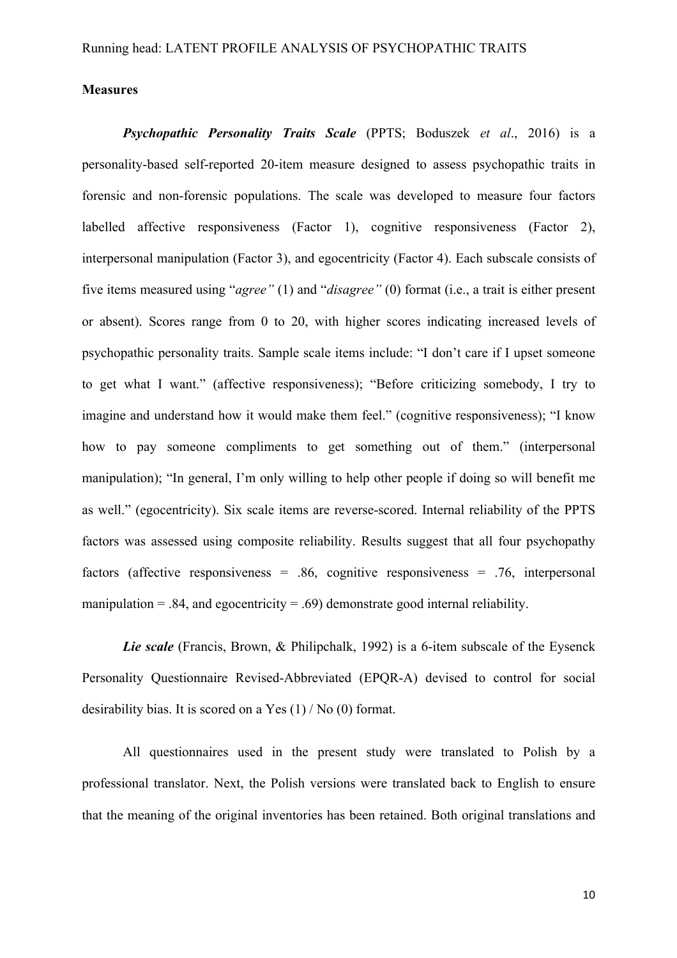#### **Measures**

*Psychopathic Personality Traits Scale* (PPTS; Boduszek *et al*., 2016) is a personality-based self-reported 20-item measure designed to assess psychopathic traits in forensic and non-forensic populations. The scale was developed to measure four factors labelled affective responsiveness (Factor 1), cognitive responsiveness (Factor 2), interpersonal manipulation (Factor 3), and egocentricity (Factor 4). Each subscale consists of five items measured using "*agree"* (1) and "*disagree"* (0) format (i.e., a trait is either present or absent). Scores range from 0 to 20, with higher scores indicating increased levels of psychopathic personality traits. Sample scale items include: "I don't care if I upset someone to get what I want." (affective responsiveness); "Before criticizing somebody, I try to imagine and understand how it would make them feel." (cognitive responsiveness); "I know how to pay someone compliments to get something out of them." (interpersonal manipulation); "In general, I'm only willing to help other people if doing so will benefit me as well." (egocentricity). Six scale items are reverse-scored. Internal reliability of the PPTS factors was assessed using composite reliability. Results suggest that all four psychopathy factors (affective responsiveness =  $.86$ , cognitive responsiveness =  $.76$ , interpersonal manipulation  $= 0.84$ , and egocentricity  $= 0.69$  demonstrate good internal reliability.

*Lie scale* (Francis, Brown, & Philipchalk, 1992) is a 6-item subscale of the Eysenck Personality Questionnaire Revised-Abbreviated (EPQR-A) devised to control for social desirability bias. It is scored on a Yes (1) / No (0) format.

All questionnaires used in the present study were translated to Polish by a professional translator. Next, the Polish versions were translated back to English to ensure that the meaning of the original inventories has been retained. Both original translations and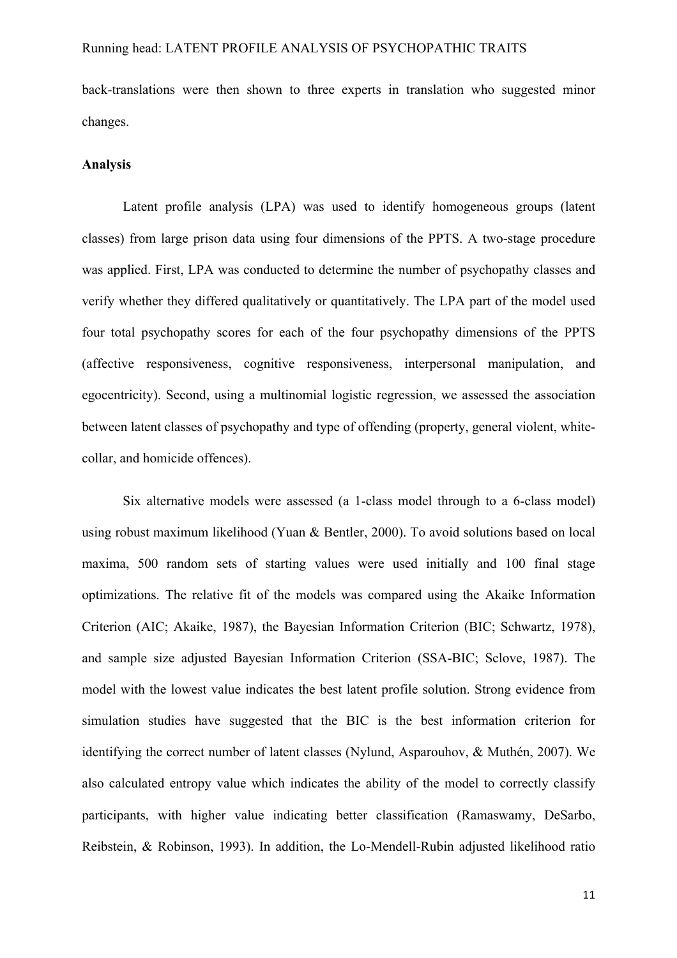back-translations were then shown to three experts in translation who suggested minor changes.

#### **Analysis**

Latent profile analysis (LPA) was used to identify homogeneous groups (latent classes) from large prison data using four dimensions of the PPTS. A two-stage procedure was applied. First, LPA was conducted to determine the number of psychopathy classes and verify whether they differed qualitatively or quantitatively. The LPA part of the model used four total psychopathy scores for each of the four psychopathy dimensions of the PPTS (affective responsiveness, cognitive responsiveness, interpersonal manipulation, and egocentricity). Second, using a multinomial logistic regression, we assessed the association between latent classes of psychopathy and type of offending (property, general violent, whitecollar, and homicide offences).

Six alternative models were assessed (a 1-class model through to a 6-class model) using robust maximum likelihood (Yuan & Bentler, 2000). To avoid solutions based on local maxima, 500 random sets of starting values were used initially and 100 final stage optimizations. The relative fit of the models was compared using the Akaike Information Criterion (AIC; Akaike, 1987), the Bayesian Information Criterion (BIC; Schwartz, 1978), and sample size adjusted Bayesian Information Criterion (SSA-BIC; Sclove, 1987). The model with the lowest value indicates the best latent profile solution. Strong evidence from simulation studies have suggested that the BIC is the best information criterion for identifying the correct number of latent classes (Nylund, Asparouhov, & Muthén, 2007). We also calculated entropy value which indicates the ability of the model to correctly classify participants, with higher value indicating better classification (Ramaswamy, DeSarbo, Reibstein, & Robinson, 1993). In addition, the Lo-Mendell-Rubin adjusted likelihood ratio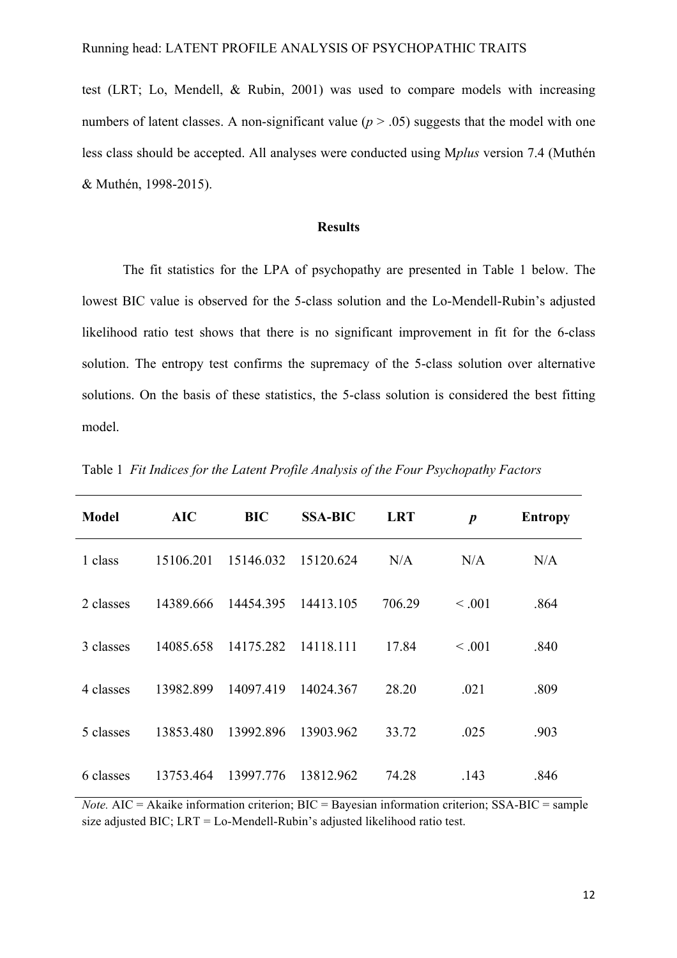test (LRT; Lo, Mendell, & Rubin, 2001) was used to compare models with increasing numbers of latent classes. A non-significant value  $(p > .05)$  suggests that the model with one less class should be accepted. All analyses were conducted using M*plus* version 7.4 (Muthén & Muthén, 1998-2015).

#### **Results**

The fit statistics for the LPA of psychopathy are presented in Table 1 below. The lowest BIC value is observed for the 5-class solution and the Lo-Mendell-Rubin's adjusted likelihood ratio test shows that there is no significant improvement in fit for the 6-class solution. The entropy test confirms the supremacy of the 5-class solution over alternative solutions. On the basis of these statistics, the 5-class solution is considered the best fitting model.

| <b>Model</b> | <b>AIC</b> | <b>BIC</b> | <b>SSA-BIC</b> | <b>LRT</b> | $\boldsymbol{p}$ | <b>Entropy</b> |
|--------------|------------|------------|----------------|------------|------------------|----------------|
| 1 class      | 15106.201  | 15146.032  | 15120.624      | N/A        | N/A              | N/A            |
| 2 classes    | 14389.666  | 14454.395  | 14413.105      | 706.29     | < 0.001          | .864           |
| 3 classes    | 14085.658  | 14175.282  | 14118.111      | 17.84      | < 0.001          | .840           |
| 4 classes    | 13982.899  | 14097.419  | 14024.367      | 28.20      | .021             | .809           |
| 5 classes    | 13853.480  | 13992.896  | 13903.962      | 33.72      | .025             | .903           |
| 6 classes    | 13753.464  | 13997.776  | 13812.962      | 74.28      | .143             | .846           |

Table 1 *Fit Indices for the Latent Profile Analysis of the Four Psychopathy Factors*

*Note.* AIC = Akaike information criterion; BIC = Bayesian information criterion; SSA-BIC = sample size adjusted BIC; LRT = Lo-Mendell-Rubin's adjusted likelihood ratio test.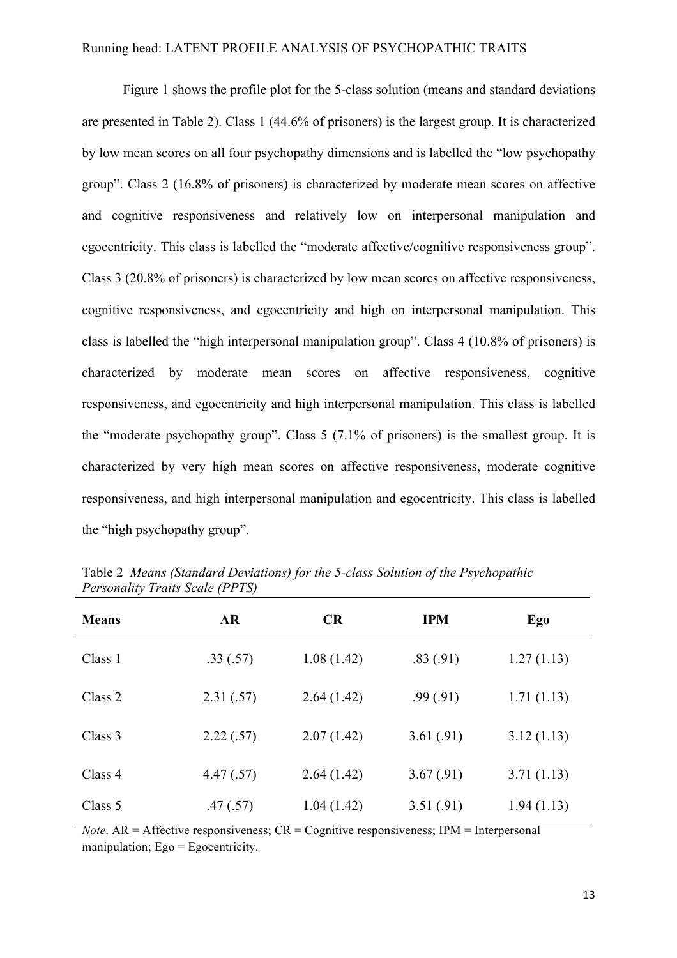Figure 1 shows the profile plot for the 5-class solution (means and standard deviations are presented in Table 2). Class 1 (44.6% of prisoners) is the largest group. It is characterized by low mean scores on all four psychopathy dimensions and is labelled the "low psychopathy group". Class 2 (16.8% of prisoners) is characterized by moderate mean scores on affective and cognitive responsiveness and relatively low on interpersonal manipulation and egocentricity. This class is labelled the "moderate affective/cognitive responsiveness group". Class 3 (20.8% of prisoners) is characterized by low mean scores on affective responsiveness, cognitive responsiveness, and egocentricity and high on interpersonal manipulation. This class is labelled the "high interpersonal manipulation group". Class 4 (10.8% of prisoners) is characterized by moderate mean scores on affective responsiveness, cognitive responsiveness, and egocentricity and high interpersonal manipulation. This class is labelled the "moderate psychopathy group". Class 5 (7.1% of prisoners) is the smallest group. It is characterized by very high mean scores on affective responsiveness, moderate cognitive responsiveness, and high interpersonal manipulation and egocentricity. This class is labelled the "high psychopathy group".

| <b>Means</b> | <b>AR</b> | <b>CR</b>  | <b>IPM</b> | Ego        |  |
|--------------|-----------|------------|------------|------------|--|
| Class 1      | .33(.57)  | 1.08(1.42) | .83(.91)   | 1.27(1.13) |  |
| Class 2      | 2.31(.57) | 2.64(1.42) | .99(.91)   | 1.71(1.13) |  |
| Class 3      | 2.22(.57) | 2.07(1.42) | 3.61(.91)  | 3.12(1.13) |  |
| Class 4      | 4.47(.57) | 2.64(1.42) | 3.67(0.91) | 3.71(1.13) |  |
| Class 5      | .47(.57)  | 1.04(1.42) | 3.51(.91)  | 1.94(1.13) |  |

Table 2 *Means (Standard Deviations) for the 5-class Solution of the Psychopathic Personality Traits Scale (PPTS)*

*Note*.  $AR =$  Affective responsiveness;  $CR =$  Cognitive responsiveness; IPM = Interpersonal manipulation; Ego = Egocentricity.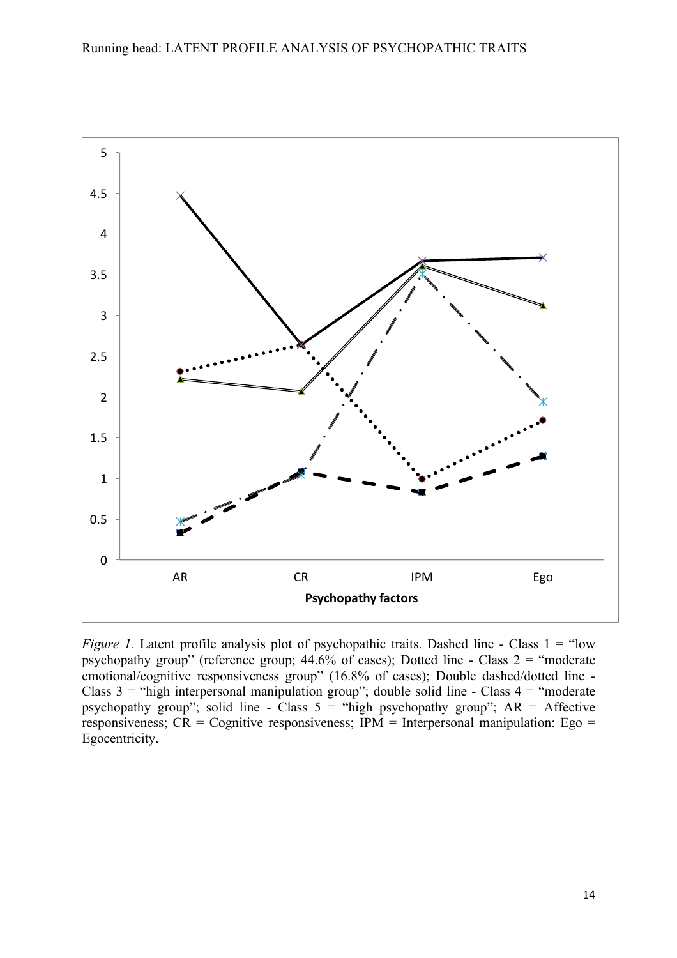

*Figure 1.* Latent profile analysis plot of psychopathic traits. Dashed line - Class 1 = "low psychopathy group" (reference group;  $44.6\%$  of cases); Dotted line - Class  $2 =$  "moderate" emotional/cognitive responsiveness group" (16.8% of cases); Double dashed/dotted line - Class  $3 =$  "high interpersonal manipulation group"; double solid line - Class  $4 =$  "moderate" psychopathy group"; solid line - Class  $5 =$  "high psychopathy group";  $AR =$  Affective responsiveness;  $CR = Cognitive$  responsiveness;  $IPM = Interpersonal manipulation$ : Ego = Egocentricity.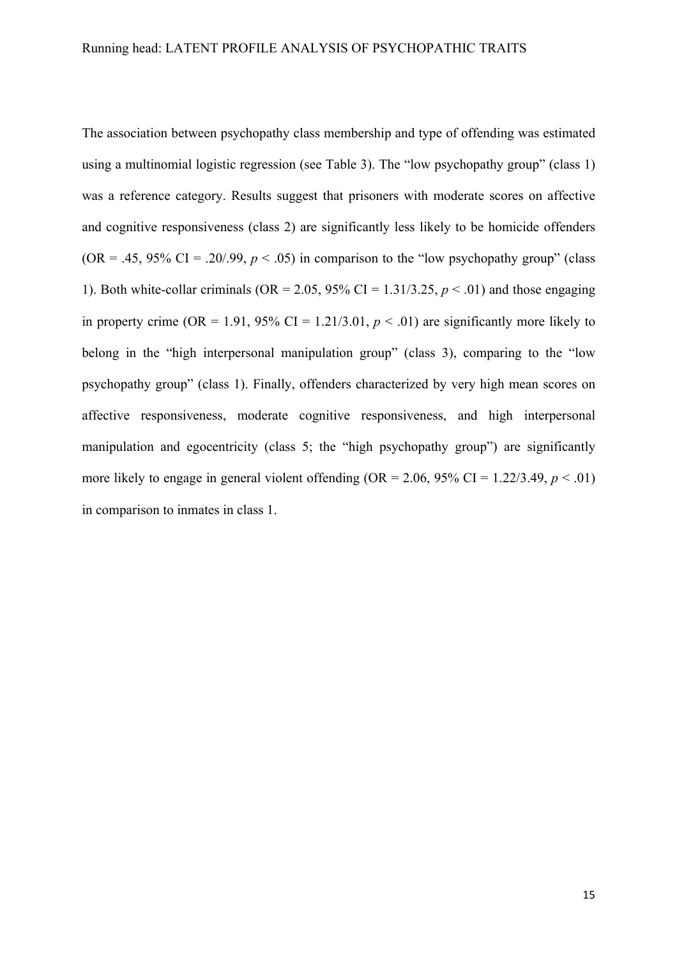The association between psychopathy class membership and type of offending was estimated using a multinomial logistic regression (see Table 3). The "low psychopathy group" (class 1) was a reference category. Results suggest that prisoners with moderate scores on affective and cognitive responsiveness (class 2) are significantly less likely to be homicide offenders (OR = .45, 95% CI = .20/.99,  $p < .05$ ) in comparison to the "low psychopathy group" (class 1). Both white-collar criminals ( $OR = 2.05$ ,  $95\%$  CI = 1.31/3.25,  $p < .01$ ) and those engaging in property crime (OR = 1.91, 95% CI = 1.21/3.01,  $p < .01$ ) are significantly more likely to belong in the "high interpersonal manipulation group" (class 3), comparing to the "low psychopathy group" (class 1). Finally, offenders characterized by very high mean scores on affective responsiveness, moderate cognitive responsiveness, and high interpersonal manipulation and egocentricity (class 5; the "high psychopathy group") are significantly more likely to engage in general violent offending (OR = 2.06, 95% CI = 1.22/3.49,  $p < .01$ ) in comparison to inmates in class 1.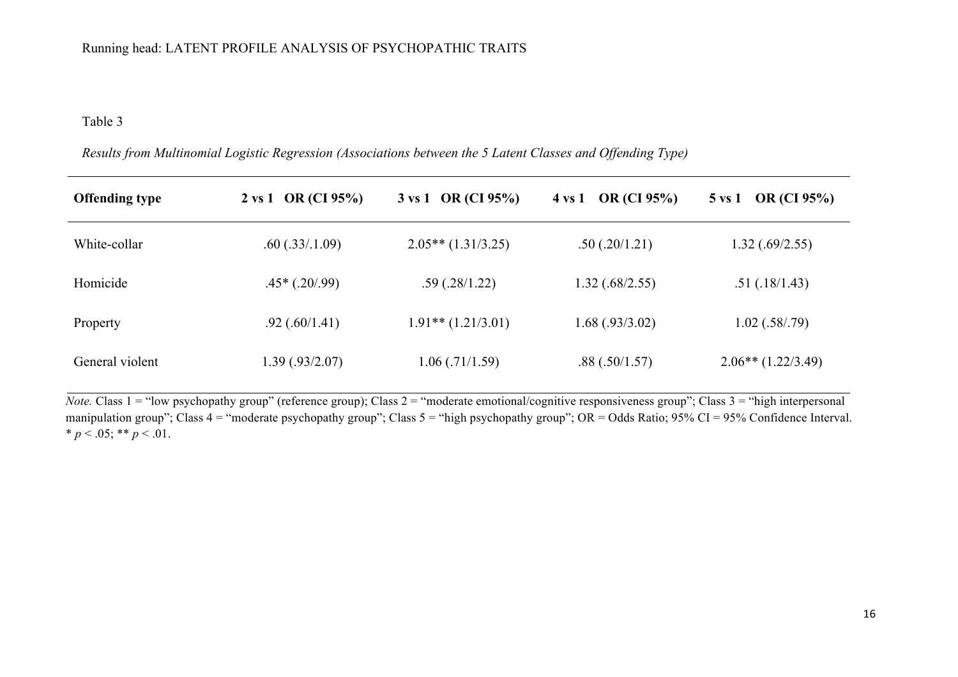# Table 3

| <b>Offending type</b> | $2 \text{ vs } 1 \text{ OR } (CI 95\%)$ | 3 vs 1 OR (CI 95%)     | $4 \text{ vs } 1 \quad \text{OR (CI 95%)}$ | 5 vs 1 OR (CI 95%)   |
|-----------------------|-----------------------------------------|------------------------|--------------------------------------------|----------------------|
| White-collar          | .60(.33/.1.09)                          | $2.05**$ (1.31/3.25)   | .50(.20/1.21)                              | 1.32(.69/2.55)       |
| Homicide              | $.45*(.20/.99)$                         | .59(.28/1.22)          | 1.32(.68/2.55)                             | .51(.18/1.43)        |
| Property              | $.92$ (.60/1.41)                        | $1.91**$ $(1.21/3.01)$ | 1.68(.93/3.02)                             | $1.02$ (.58/.79)     |
| General violent       | 1.39 (.93/2.07)                         | 1.06(.71/1.59)         | .88(.50/1.57)                              | $2.06**$ (1.22/3.49) |

*Results from Multinomial Logistic Regression (Associations between the 5 Latent Classes and Offending Type)*

*Note.* Class 1 = "low psychopathy group" (reference group); Class 2 = "moderate emotional/cognitive responsiveness group"; Class 3 = "high interpersonal" manipulation group"; Class  $4 =$  "moderate psychopathy group"; Class  $5 =$  "high psychopathy group"; OR = Odds Ratio; 95% CI = 95% Confidence Interval. \*  $p < .05$ ; \*\*  $p < .01$ .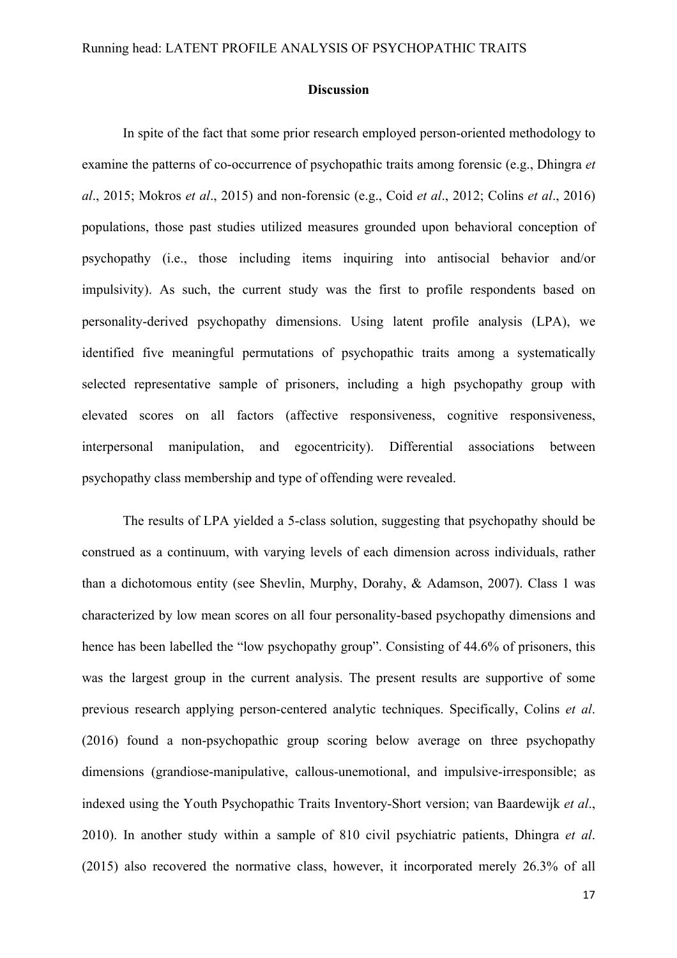#### **Discussion**

In spite of the fact that some prior research employed person-oriented methodology to examine the patterns of co-occurrence of psychopathic traits among forensic (e.g., Dhingra *et al*., 2015; Mokros *et al*., 2015) and non-forensic (e.g., Coid *et al*., 2012; Colins *et al*., 2016) populations, those past studies utilized measures grounded upon behavioral conception of psychopathy (i.e., those including items inquiring into antisocial behavior and/or impulsivity). As such, the current study was the first to profile respondents based on personality-derived psychopathy dimensions. Using latent profile analysis (LPA), we identified five meaningful permutations of psychopathic traits among a systematically selected representative sample of prisoners, including a high psychopathy group with elevated scores on all factors (affective responsiveness, cognitive responsiveness, interpersonal manipulation, and egocentricity). Differential associations between psychopathy class membership and type of offending were revealed.

The results of LPA yielded a 5-class solution, suggesting that psychopathy should be construed as a continuum, with varying levels of each dimension across individuals, rather than a dichotomous entity (see Shevlin, Murphy, Dorahy, & Adamson, 2007). Class 1 was characterized by low mean scores on all four personality-based psychopathy dimensions and hence has been labelled the "low psychopathy group". Consisting of 44.6% of prisoners, this was the largest group in the current analysis. The present results are supportive of some previous research applying person-centered analytic techniques. Specifically, Colins *et al*. (2016) found a non-psychopathic group scoring below average on three psychopathy dimensions (grandiose-manipulative, callous-unemotional, and impulsive-irresponsible; as indexed using the Youth Psychopathic Traits Inventory-Short version; van Baardewijk *et al*., 2010). In another study within a sample of 810 civil psychiatric patients, Dhingra *et al*. (2015) also recovered the normative class, however, it incorporated merely 26.3% of all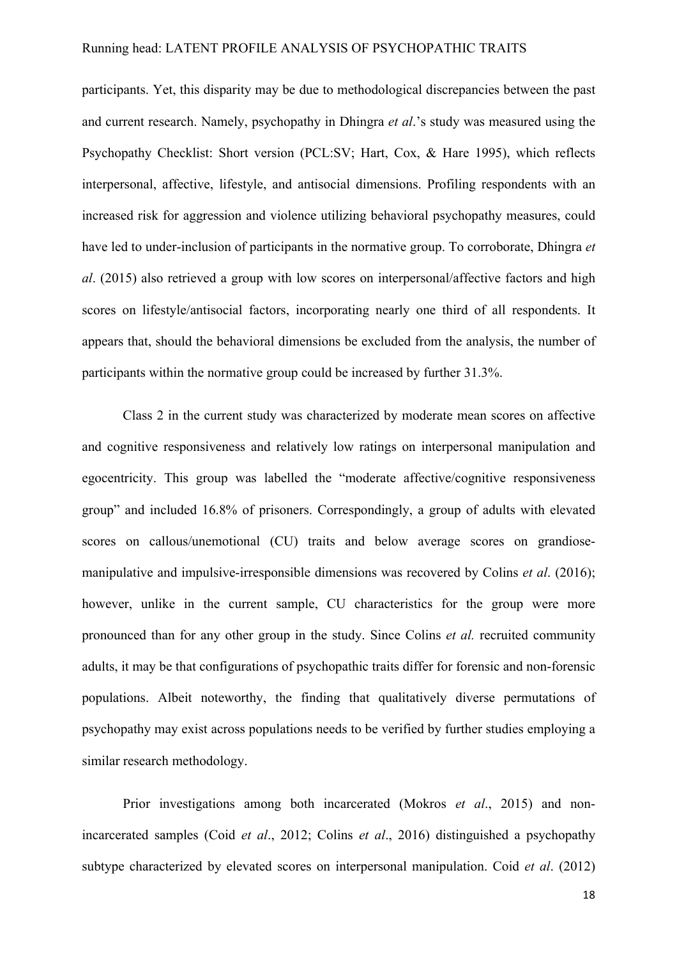participants. Yet, this disparity may be due to methodological discrepancies between the past and current research. Namely, psychopathy in Dhingra *et al*.'s study was measured using the Psychopathy Checklist: Short version (PCL:SV; Hart, Cox, & Hare 1995), which reflects interpersonal, affective, lifestyle, and antisocial dimensions. Profiling respondents with an increased risk for aggression and violence utilizing behavioral psychopathy measures, could have led to under-inclusion of participants in the normative group. To corroborate, Dhingra *et al*. (2015) also retrieved a group with low scores on interpersonal/affective factors and high scores on lifestyle/antisocial factors, incorporating nearly one third of all respondents. It appears that, should the behavioral dimensions be excluded from the analysis, the number of participants within the normative group could be increased by further 31.3%.

Class 2 in the current study was characterized by moderate mean scores on affective and cognitive responsiveness and relatively low ratings on interpersonal manipulation and egocentricity. This group was labelled the "moderate affective/cognitive responsiveness group" and included 16.8% of prisoners. Correspondingly, a group of adults with elevated scores on callous/unemotional (CU) traits and below average scores on grandiosemanipulative and impulsive-irresponsible dimensions was recovered by Colins *et al*. (2016); however, unlike in the current sample, CU characteristics for the group were more pronounced than for any other group in the study. Since Colins *et al.* recruited community adults, it may be that configurations of psychopathic traits differ for forensic and non-forensic populations. Albeit noteworthy, the finding that qualitatively diverse permutations of psychopathy may exist across populations needs to be verified by further studies employing a similar research methodology.

Prior investigations among both incarcerated (Mokros *et al*., 2015) and nonincarcerated samples (Coid *et al*., 2012; Colins *et al*., 2016) distinguished a psychopathy subtype characterized by elevated scores on interpersonal manipulation. Coid *et al*. (2012)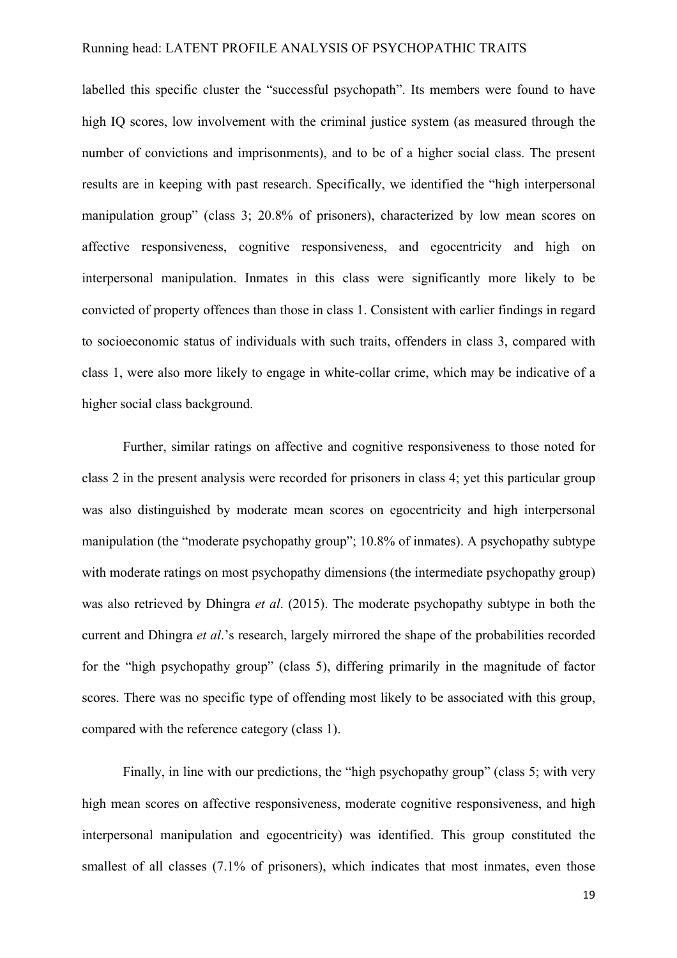labelled this specific cluster the "successful psychopath". Its members were found to have high IQ scores, low involvement with the criminal justice system (as measured through the number of convictions and imprisonments), and to be of a higher social class. The present results are in keeping with past research. Specifically, we identified the "high interpersonal manipulation group" (class 3; 20.8% of prisoners), characterized by low mean scores on affective responsiveness, cognitive responsiveness, and egocentricity and high on interpersonal manipulation. Inmates in this class were significantly more likely to be convicted of property offences than those in class 1. Consistent with earlier findings in regard to socioeconomic status of individuals with such traits, offenders in class 3, compared with class 1, were also more likely to engage in white-collar crime, which may be indicative of a higher social class background.

Further, similar ratings on affective and cognitive responsiveness to those noted for class 2 in the present analysis were recorded for prisoners in class 4; yet this particular group was also distinguished by moderate mean scores on egocentricity and high interpersonal manipulation (the "moderate psychopathy group"; 10.8% of inmates). A psychopathy subtype with moderate ratings on most psychopathy dimensions (the intermediate psychopathy group) was also retrieved by Dhingra *et al*. (2015). The moderate psychopathy subtype in both the current and Dhingra *et al*.'s research, largely mirrored the shape of the probabilities recorded for the "high psychopathy group" (class 5), differing primarily in the magnitude of factor scores. There was no specific type of offending most likely to be associated with this group, compared with the reference category (class 1).

Finally, in line with our predictions, the "high psychopathy group" (class 5; with very high mean scores on affective responsiveness, moderate cognitive responsiveness, and high interpersonal manipulation and egocentricity) was identified. This group constituted the smallest of all classes (7.1% of prisoners), which indicates that most inmates, even those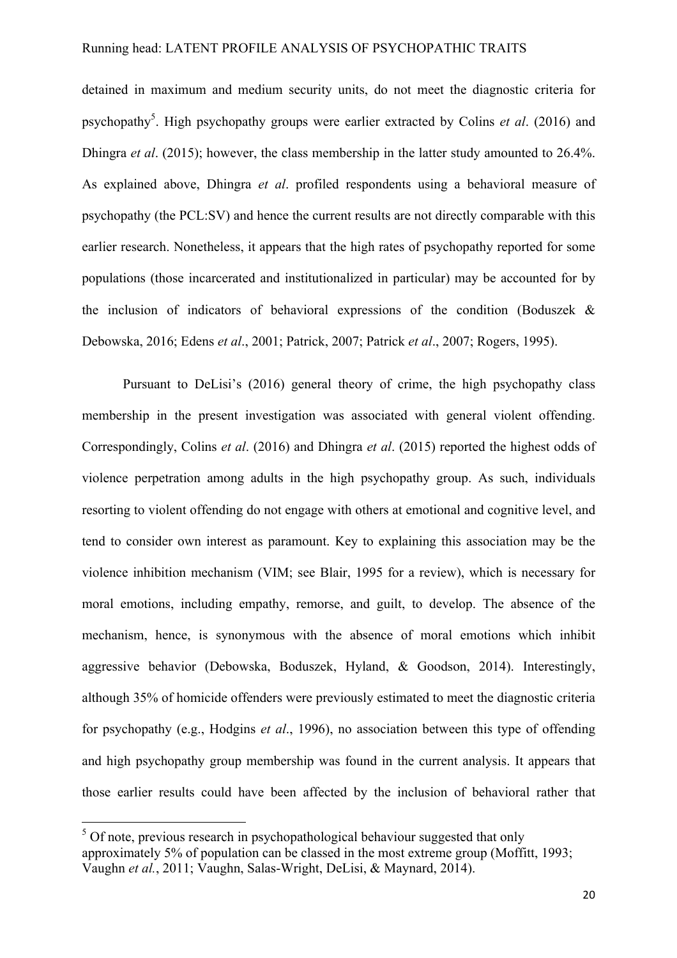detained in maximum and medium security units, do not meet the diagnostic criteria for psychopathy<sup>5</sup>. High psychopathy groups were earlier extracted by Colins *et al.* (2016) and Dhingra *et al*. (2015); however, the class membership in the latter study amounted to 26.4%. As explained above, Dhingra *et al*. profiled respondents using a behavioral measure of psychopathy (the PCL:SV) and hence the current results are not directly comparable with this earlier research. Nonetheless, it appears that the high rates of psychopathy reported for some populations (those incarcerated and institutionalized in particular) may be accounted for by the inclusion of indicators of behavioral expressions of the condition (Boduszek  $\&$ Debowska, 2016; Edens *et al*., 2001; Patrick, 2007; Patrick *et al*., 2007; Rogers, 1995).

Pursuant to DeLisi's (2016) general theory of crime, the high psychopathy class membership in the present investigation was associated with general violent offending. Correspondingly, Colins *et al*. (2016) and Dhingra *et al*. (2015) reported the highest odds of violence perpetration among adults in the high psychopathy group. As such, individuals resorting to violent offending do not engage with others at emotional and cognitive level, and tend to consider own interest as paramount. Key to explaining this association may be the violence inhibition mechanism (VIM; see Blair, 1995 for a review), which is necessary for moral emotions, including empathy, remorse, and guilt, to develop. The absence of the mechanism, hence, is synonymous with the absence of moral emotions which inhibit aggressive behavior (Debowska, Boduszek, Hyland, & Goodson, 2014). Interestingly, although 35% of homicide offenders were previously estimated to meet the diagnostic criteria for psychopathy (e.g., Hodgins *et al*., 1996), no association between this type of offending and high psychopathy group membership was found in the current analysis. It appears that those earlier results could have been affected by the inclusion of behavioral rather that

 $5$  Of note, previous research in psychopathological behaviour suggested that only approximately 5% of population can be classed in the most extreme group (Moffitt, 1993; Vaughn *et al.*, 2011; Vaughn, Salas-Wright, DeLisi, & Maynard, 2014).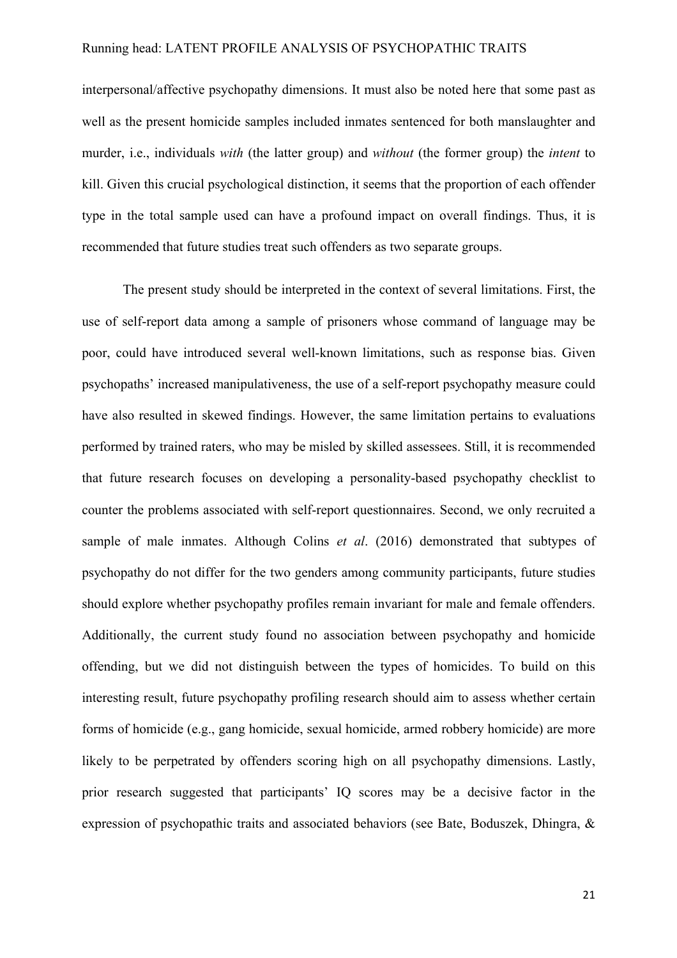interpersonal/affective psychopathy dimensions. It must also be noted here that some past as well as the present homicide samples included inmates sentenced for both manslaughter and murder, i.e., individuals *with* (the latter group) and *without* (the former group) the *intent* to kill. Given this crucial psychological distinction, it seems that the proportion of each offender type in the total sample used can have a profound impact on overall findings. Thus, it is recommended that future studies treat such offenders as two separate groups.

The present study should be interpreted in the context of several limitations. First, the use of self-report data among a sample of prisoners whose command of language may be poor, could have introduced several well-known limitations, such as response bias. Given psychopaths' increased manipulativeness, the use of a self-report psychopathy measure could have also resulted in skewed findings. However, the same limitation pertains to evaluations performed by trained raters, who may be misled by skilled assessees. Still, it is recommended that future research focuses on developing a personality-based psychopathy checklist to counter the problems associated with self-report questionnaires. Second, we only recruited a sample of male inmates. Although Colins *et al*. (2016) demonstrated that subtypes of psychopathy do not differ for the two genders among community participants, future studies should explore whether psychopathy profiles remain invariant for male and female offenders. Additionally, the current study found no association between psychopathy and homicide offending, but we did not distinguish between the types of homicides. To build on this interesting result, future psychopathy profiling research should aim to assess whether certain forms of homicide (e.g., gang homicide, sexual homicide, armed robbery homicide) are more likely to be perpetrated by offenders scoring high on all psychopathy dimensions. Lastly, prior research suggested that participants' IQ scores may be a decisive factor in the expression of psychopathic traits and associated behaviors (see Bate, Boduszek, Dhingra, &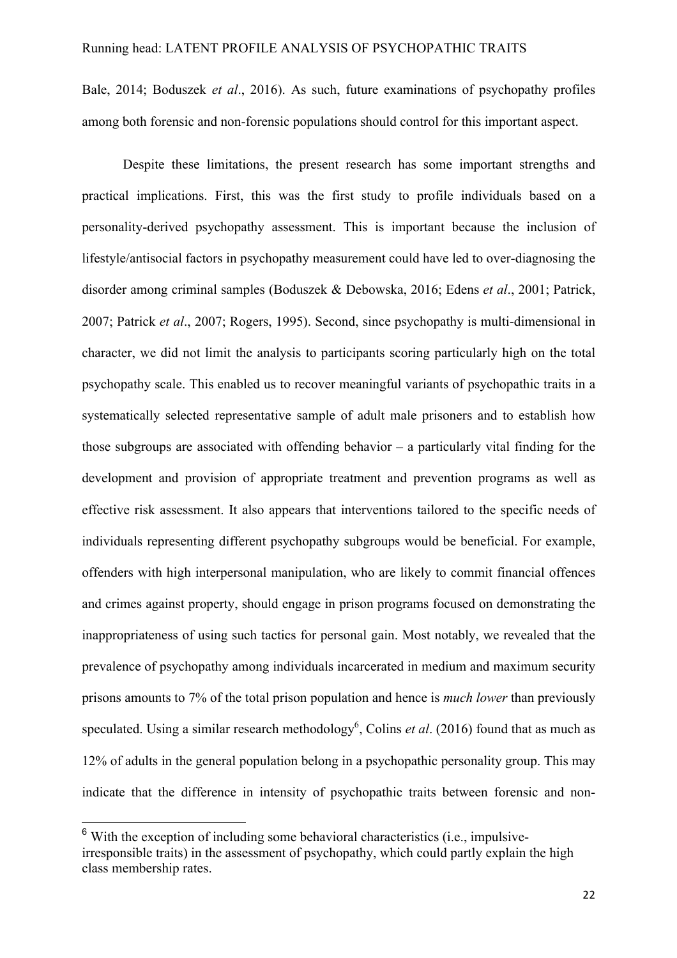Bale, 2014; Boduszek *et al*., 2016). As such, future examinations of psychopathy profiles among both forensic and non-forensic populations should control for this important aspect.

Despite these limitations, the present research has some important strengths and practical implications. First, this was the first study to profile individuals based on a personality-derived psychopathy assessment. This is important because the inclusion of lifestyle/antisocial factors in psychopathy measurement could have led to over-diagnosing the disorder among criminal samples (Boduszek & Debowska, 2016; Edens *et al*., 2001; Patrick, 2007; Patrick *et al*., 2007; Rogers, 1995). Second, since psychopathy is multi-dimensional in character, we did not limit the analysis to participants scoring particularly high on the total psychopathy scale. This enabled us to recover meaningful variants of psychopathic traits in a systematically selected representative sample of adult male prisoners and to establish how those subgroups are associated with offending behavior – a particularly vital finding for the development and provision of appropriate treatment and prevention programs as well as effective risk assessment. It also appears that interventions tailored to the specific needs of individuals representing different psychopathy subgroups would be beneficial. For example, offenders with high interpersonal manipulation, who are likely to commit financial offences and crimes against property, should engage in prison programs focused on demonstrating the inappropriateness of using such tactics for personal gain. Most notably, we revealed that the prevalence of psychopathy among individuals incarcerated in medium and maximum security prisons amounts to 7% of the total prison population and hence is *much lower* than previously speculated. Using a similar research methodology<sup>6</sup>, Colins *et al.* (2016) found that as much as 12% of adults in the general population belong in a psychopathic personality group. This may indicate that the difference in intensity of psychopathic traits between forensic and non-

 $6$  With the exception of including some behavioral characteristics (i.e., impulsiveirresponsible traits) in the assessment of psychopathy, which could partly explain the high class membership rates.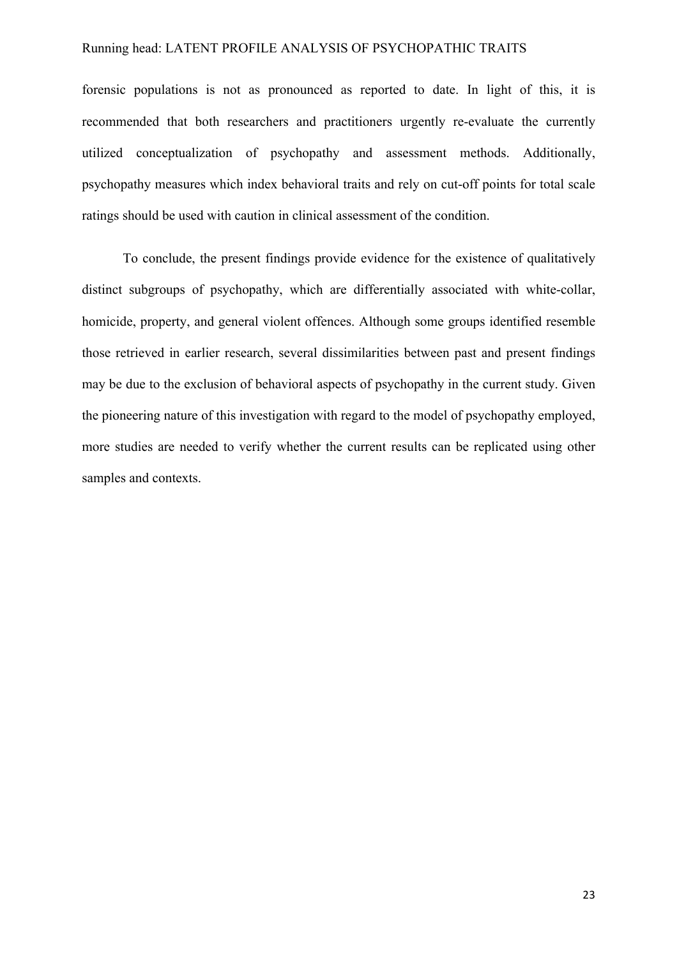forensic populations is not as pronounced as reported to date. In light of this, it is recommended that both researchers and practitioners urgently re-evaluate the currently utilized conceptualization of psychopathy and assessment methods. Additionally, psychopathy measures which index behavioral traits and rely on cut-off points for total scale ratings should be used with caution in clinical assessment of the condition.

To conclude, the present findings provide evidence for the existence of qualitatively distinct subgroups of psychopathy, which are differentially associated with white-collar, homicide, property, and general violent offences. Although some groups identified resemble those retrieved in earlier research, several dissimilarities between past and present findings may be due to the exclusion of behavioral aspects of psychopathy in the current study. Given the pioneering nature of this investigation with regard to the model of psychopathy employed, more studies are needed to verify whether the current results can be replicated using other samples and contexts.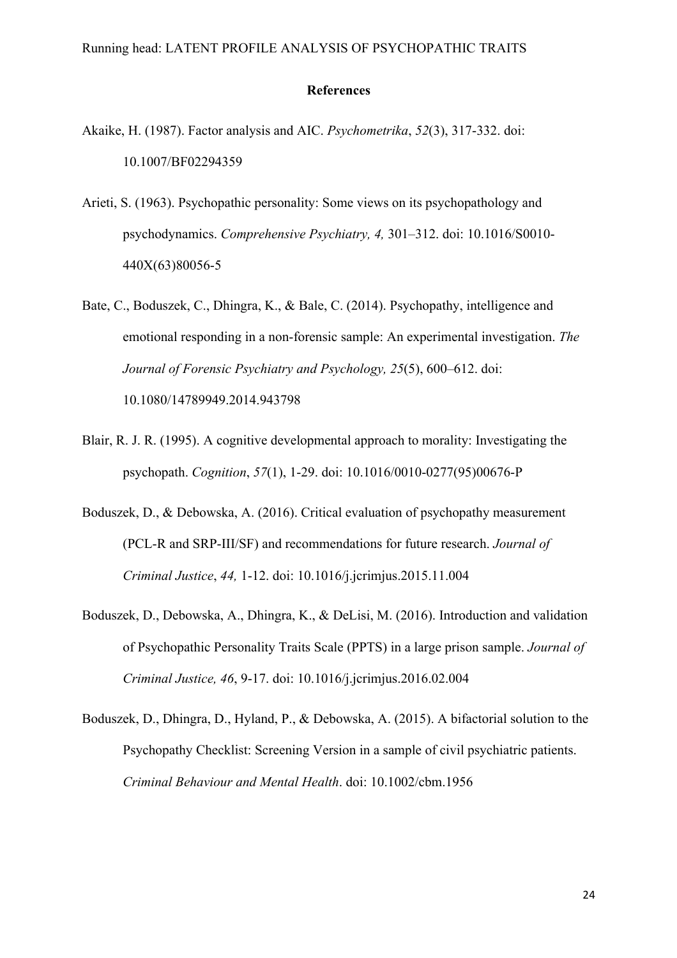#### **References**

- Akaike, H. (1987). Factor analysis and AIC. *Psychometrika*, *52*(3), 317-332. doi: 10.1007/BF02294359
- Arieti, S. (1963). Psychopathic personality: Some views on its psychopathology and psychodynamics. *Comprehensive Psychiatry, 4,* 301–312. doi: 10.1016/S0010- 440X(63)80056-5
- Bate, C., Boduszek, C., Dhingra, K., & Bale, C. (2014). Psychopathy, intelligence and emotional responding in a non-forensic sample: An experimental investigation. *The Journal of Forensic Psychiatry and Psychology, 25*(5), 600–612. doi: 10.1080/14789949.2014.943798
- Blair, R. J. R. (1995). A cognitive developmental approach to morality: Investigating the psychopath. *Cognition*, *57*(1), 1-29. doi: 10.1016/0010-0277(95)00676-P
- Boduszek, D., & Debowska, A. (2016). Critical evaluation of psychopathy measurement (PCL-R and SRP-III/SF) and recommendations for future research. *Journal of Criminal Justice*, *44,* 1-12. doi: 10.1016/j.jcrimjus.2015.11.004
- Boduszek, D., Debowska, A., Dhingra, K., & DeLisi, M. (2016). Introduction and validation of Psychopathic Personality Traits Scale (PPTS) in a large prison sample. *Journal of Criminal Justice, 46*, 9-17. doi: 10.1016/j.jcrimjus.2016.02.004
- Boduszek, D., Dhingra, D., Hyland, P., & Debowska, A. (2015). A bifactorial solution to the Psychopathy Checklist: Screening Version in a sample of civil psychiatric patients. *Criminal Behaviour and Mental Health*. doi: 10.1002/cbm.1956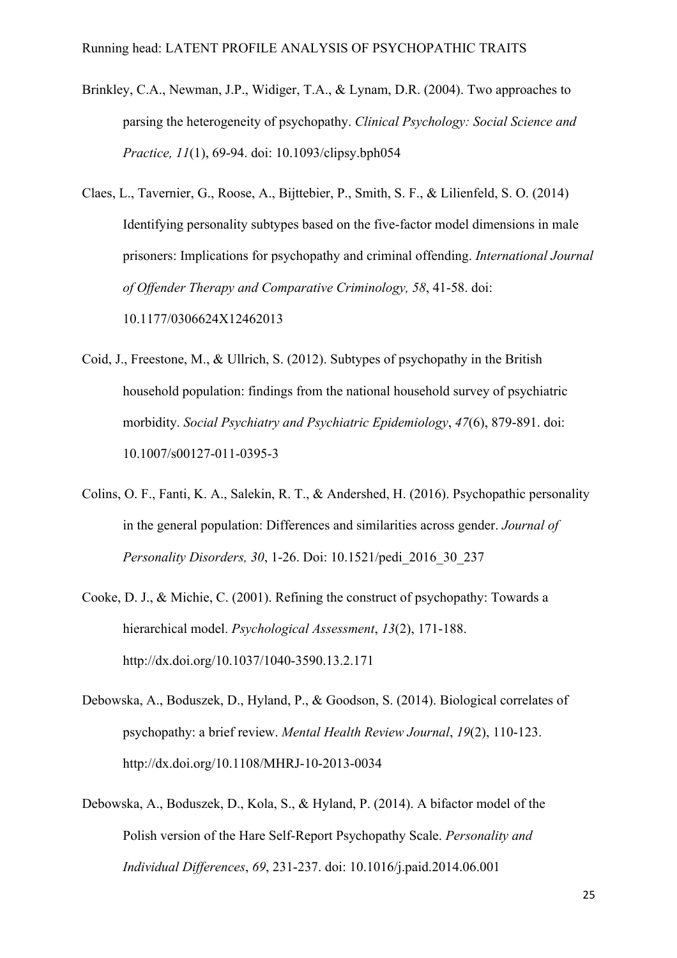- Brinkley, C.A., Newman, J.P., Widiger, T.A., & Lynam, D.R. (2004). Two approaches to parsing the heterogeneity of psychopathy. *Clinical Psychology: Social Science and Practice, 11*(1), 69-94. doi: 10.1093/clipsy.bph054
- Claes, L., Tavernier, G., Roose, A., Bijttebier, P., Smith, S. F., & Lilienfeld, S. O. (2014) Identifying personality subtypes based on the five-factor model dimensions in male prisoners: Implications for psychopathy and criminal offending. *International Journal of Offender Therapy and Comparative Criminology, 58*, 41-58. doi: 10.1177/0306624X12462013
- Coid, J., Freestone, M., & Ullrich, S. (2012). Subtypes of psychopathy in the British household population: findings from the national household survey of psychiatric morbidity. *Social Psychiatry and Psychiatric Epidemiology*, *47*(6), 879-891. doi: 10.1007/s00127-011-0395-3
- Colins, O. F., Fanti, K. A., Salekin, R. T., & Andershed, H. (2016). Psychopathic personality in the general population: Differences and similarities across gender. *Journal of Personality Disorders, 30*, 1-26. Doi: 10.1521/pedi\_2016\_30\_237
- Cooke, D. J., & Michie, C. (2001). Refining the construct of psychopathy: Towards a hierarchical model. *Psychological Assessment*, *13*(2), 171-188. http://dx.doi.org/10.1037/1040-3590.13.2.171
- Debowska, A., Boduszek, D., Hyland, P., & Goodson, S. (2014). Biological correlates of psychopathy: a brief review. *Mental Health Review Journal*, *19*(2), 110-123. http://dx.doi.org/10.1108/MHRJ-10-2013-0034
- Debowska, A., Boduszek, D., Kola, S., & Hyland, P. (2014). A bifactor model of the Polish version of the Hare Self-Report Psychopathy Scale. *Personality and Individual Differences*, *69*, 231-237. doi: 10.1016/j.paid.2014.06.001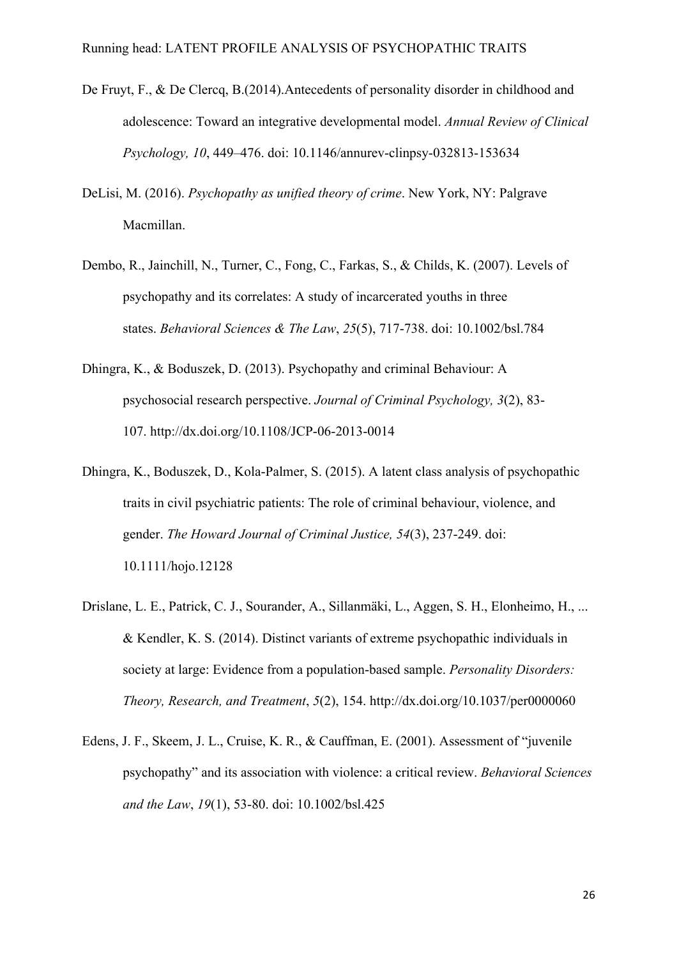- De Fruyt, F., & De Clercq, B.(2014). Antecedents of personality disorder in childhood and adolescence: Toward an integrative developmental model. *Annual Review of Clinical Psychology, 10*, 449–476. doi: 10.1146/annurev-clinpsy-032813-153634
- DeLisi, M. (2016). *Psychopathy as unified theory of crime*. New York, NY: Palgrave Macmillan.
- Dembo, R., Jainchill, N., Turner, C., Fong, C., Farkas, S., & Childs, K. (2007). Levels of psychopathy and its correlates: A study of incarcerated youths in three states. *Behavioral Sciences & The Law*, *25*(5), 717-738. doi: 10.1002/bsl.784
- Dhingra, K., & Boduszek, D. (2013). Psychopathy and criminal Behaviour: A psychosocial research perspective. *Journal of Criminal Psychology, 3*(2), 83- 107. http://dx.doi.org/10.1108/JCP-06-2013-0014
- Dhingra, K., Boduszek, D., Kola-Palmer, S. (2015). A latent class analysis of psychopathic traits in civil psychiatric patients: The role of criminal behaviour, violence, and gender. *The Howard Journal of Criminal Justice, 54*(3), 237-249. doi: 10.1111/hojo.12128
- Drislane, L. E., Patrick, C. J., Sourander, A., Sillanmäki, L., Aggen, S. H., Elonheimo, H., ... & Kendler, K. S. (2014). Distinct variants of extreme psychopathic individuals in society at large: Evidence from a population-based sample. *Personality Disorders: Theory, Research, and Treatment*, *5*(2), 154. http://dx.doi.org/10.1037/per0000060
- Edens, J. F., Skeem, J. L., Cruise, K. R., & Cauffman, E. (2001). Assessment of "juvenile psychopathy" and its association with violence: a critical review. *Behavioral Sciences and the Law*, *19*(1), 53-80. doi: 10.1002/bsl.425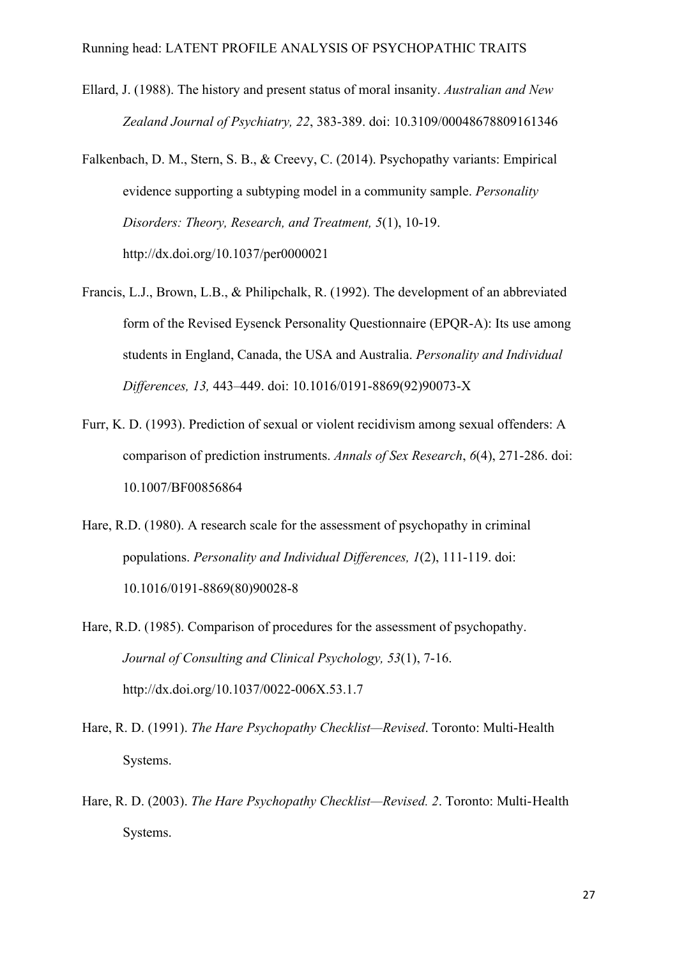- Ellard, J. (1988). The history and present status of moral insanity. *Australian and New Zealand Journal of Psychiatry, 22*, 383-389. doi: 10.3109/00048678809161346
- Falkenbach, D. M., Stern, S. B., & Creevy, C. (2014). Psychopathy variants: Empirical evidence supporting a subtyping model in a community sample. *Personality Disorders: Theory, Research, and Treatment, 5*(1), 10-19. http://dx.doi.org/10.1037/per0000021
- Francis, L.J., Brown, L.B., & Philipchalk, R. (1992). The development of an abbreviated form of the Revised Eysenck Personality Questionnaire (EPQR-A): Its use among students in England, Canada, the USA and Australia. *Personality and Individual Differences, 13,* 443–449. doi: 10.1016/0191-8869(92)90073-X
- Furr, K. D. (1993). Prediction of sexual or violent recidivism among sexual offenders: A comparison of prediction instruments. *Annals of Sex Research*, *6*(4), 271-286. doi: 10.1007/BF00856864
- Hare, R.D. (1980). A research scale for the assessment of psychopathy in criminal populations. *Personality and Individual Differences, 1*(2), 111-119. doi: 10.1016/0191-8869(80)90028-8
- Hare, R.D. (1985). Comparison of procedures for the assessment of psychopathy. *Journal of Consulting and Clinical Psychology, 53*(1), 7-16. http://dx.doi.org/10.1037/0022-006X.53.1.7
- Hare, R. D. (1991). *The Hare Psychopathy Checklist—Revised*. Toronto: Multi-Health Systems.
- Hare, R. D. (2003). *The Hare Psychopathy Checklist—Revised. 2*. Toronto: Multi-Health Systems.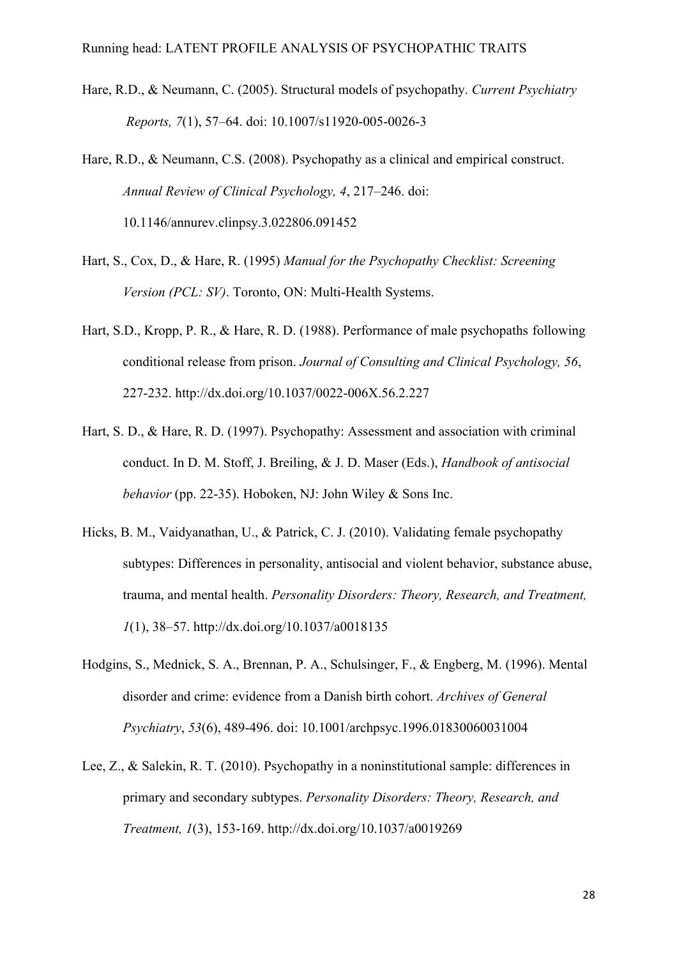- Hare, R.D., & Neumann, C. (2005). Structural models of psychopathy. *Current Psychiatry Reports, 7*(1), 57–64. doi: 10.1007/s11920-005-0026-3
- Hare, R.D., & Neumann, C.S. (2008). Psychopathy as a clinical and empirical construct. *Annual Review of Clinical Psychology, 4*, 217–246. doi: 10.1146/annurev.clinpsy.3.022806.091452
- Hart, S., Cox, D., & Hare, R. (1995) *Manual for the Psychopathy Checklist: Screening Version (PCL: SV)*. Toronto, ON: Multi-Health Systems.
- Hart, S.D., Kropp, P. R., & Hare, R. D. (1988). Performance of male psychopaths following conditional release from prison. *Journal of Consulting and Clinical Psychology, 56*, 227-232. http://dx.doi.org/10.1037/0022-006X.56.2.227
- Hart, S. D., & Hare, R. D. (1997). Psychopathy: Assessment and association with criminal conduct. In D. M. Stoff, J. Breiling, & J. D. Maser (Eds.), *Handbook of antisocial behavior* (pp. 22-35). Hoboken, NJ: John Wiley & Sons Inc.
- Hicks, B. M., Vaidyanathan, U., & Patrick, C. J. (2010). Validating female psychopathy subtypes: Differences in personality, antisocial and violent behavior, substance abuse, trauma, and mental health. *Personality Disorders: Theory, Research, and Treatment, 1*(1), 38–57. http://dx.doi.org/10.1037/a0018135
- Hodgins, S., Mednick, S. A., Brennan, P. A., Schulsinger, F., & Engberg, M. (1996). Mental disorder and crime: evidence from a Danish birth cohort. *Archives of General Psychiatry*, *53*(6), 489-496. doi: 10.1001/archpsyc.1996.01830060031004
- Lee, Z., & Salekin, R. T. (2010). Psychopathy in a noninstitutional sample: differences in primary and secondary subtypes. *Personality Disorders: Theory, Research, and Treatment, 1*(3), 153-169. http://dx.doi.org/10.1037/a0019269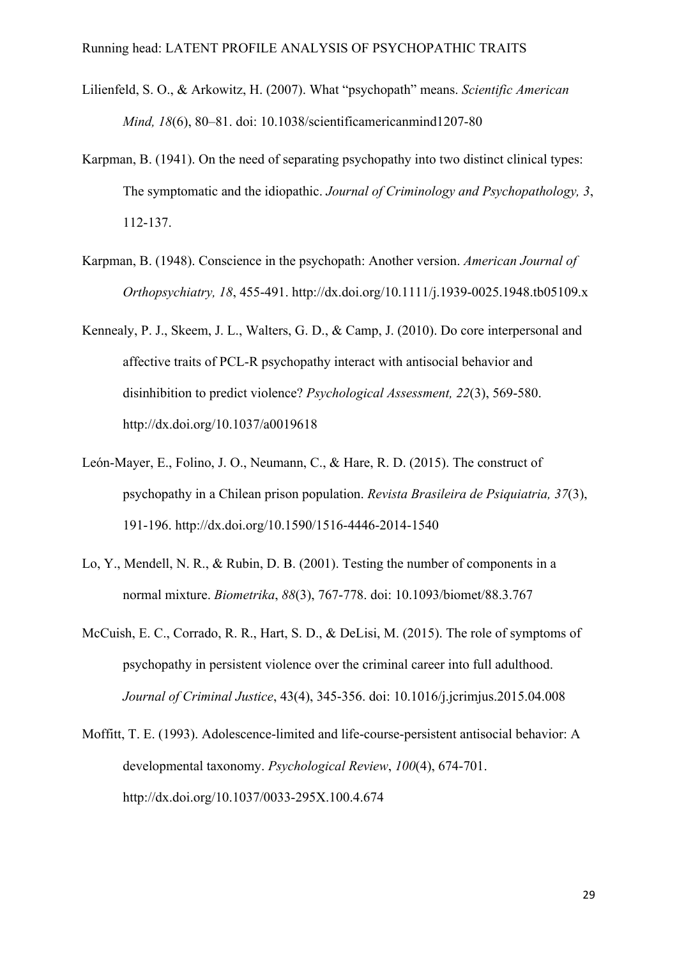- Lilienfeld, S. O., & Arkowitz, H. (2007). What "psychopath" means. *Scientific American Mind, 18*(6), 80–81. doi: 10.1038/scientificamericanmind1207-80
- Karpman, B. (1941). On the need of separating psychopathy into two distinct clinical types: The symptomatic and the idiopathic. *Journal of Criminology and Psychopathology, 3*, 112-137.
- Karpman, B. (1948). Conscience in the psychopath: Another version. *American Journal of Orthopsychiatry, 18*, 455-491. http://dx.doi.org/10.1111/j.1939-0025.1948.tb05109.x
- Kennealy, P. J., Skeem, J. L., Walters, G. D., & Camp, J. (2010). Do core interpersonal and affective traits of PCL-R psychopathy interact with antisocial behavior and disinhibition to predict violence? *Psychological Assessment, 22*(3), 569-580. http://dx.doi.org/10.1037/a0019618
- León-Mayer, E., Folino, J. O., Neumann, C., & Hare, R. D. (2015). The construct of psychopathy in a Chilean prison population. *Revista Brasileira de Psiquiatria, 37*(3), 191-196. http://dx.doi.org/10.1590/1516-4446-2014-1540
- Lo, Y., Mendell, N. R., & Rubin, D. B. (2001). Testing the number of components in a normal mixture. *Biometrika*, *88*(3), 767-778. doi: 10.1093/biomet/88.3.767
- McCuish, E. C., Corrado, R. R., Hart, S. D., & DeLisi, M. (2015). The role of symptoms of psychopathy in persistent violence over the criminal career into full adulthood. *Journal of Criminal Justice*, 43(4), 345-356. doi: 10.1016/j.jcrimjus.2015.04.008
- Moffitt, T. E. (1993). Adolescence-limited and life-course-persistent antisocial behavior: A developmental taxonomy. *Psychological Review*, *100*(4), 674-701. http://dx.doi.org/10.1037/0033-295X.100.4.674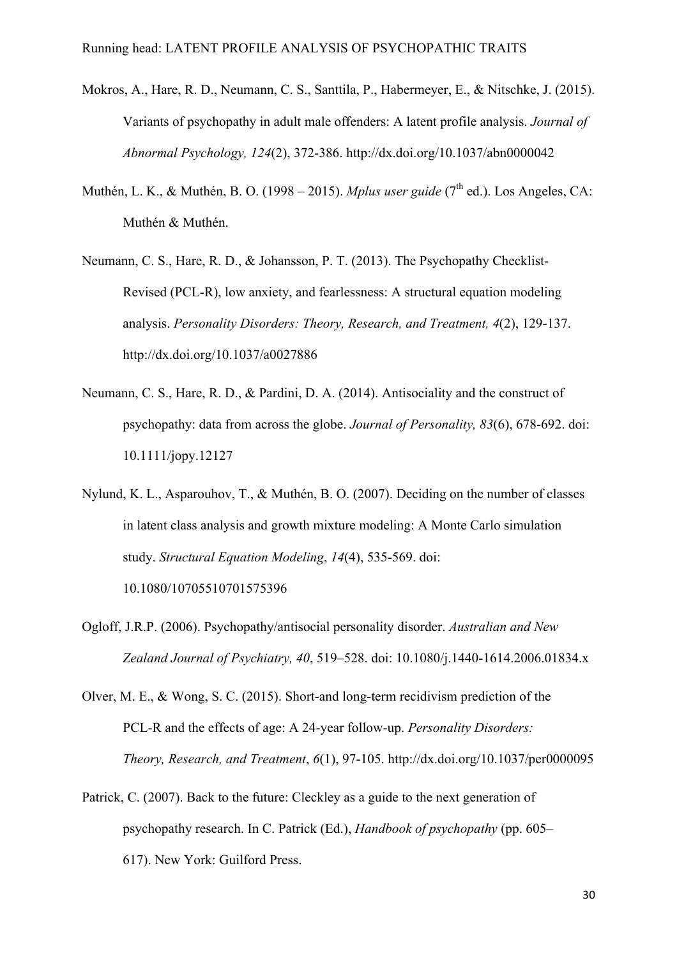- Mokros, A., Hare, R. D., Neumann, C. S., Santtila, P., Habermeyer, E., & Nitschke, J. (2015). Variants of psychopathy in adult male offenders: A latent profile analysis. *Journal of Abnormal Psychology, 124*(2), 372-386. http://dx.doi.org/10.1037/abn0000042
- Muthén, L. K., & Muthén, B. O. (1998 2015). *Mplus user guide* (7<sup>th</sup> ed.). Los Angeles, CA: Muthén & Muthén.
- Neumann, C. S., Hare, R. D., & Johansson, P. T. (2013). The Psychopathy Checklist-Revised (PCL-R), low anxiety, and fearlessness: A structural equation modeling analysis. *Personality Disorders: Theory, Research, and Treatment, 4*(2), 129-137. http://dx.doi.org/10.1037/a0027886
- Neumann, C. S., Hare, R. D., & Pardini, D. A. (2014). Antisociality and the construct of psychopathy: data from across the globe. *Journal of Personality, 83*(6), 678-692. doi: 10.1111/jopy.12127
- Nylund, K. L., Asparouhov, T., & Muthén, B. O. (2007). Deciding on the number of classes in latent class analysis and growth mixture modeling: A Monte Carlo simulation study. *Structural Equation Modeling*, *14*(4), 535-569. doi: 10.1080/10705510701575396
- Ogloff, J.R.P. (2006). Psychopathy/antisocial personality disorder. *Australian and New Zealand Journal of Psychiatry, 40*, 519–528. doi: 10.1080/j.1440-1614.2006.01834.x
- Olver, M. E., & Wong, S. C. (2015). Short-and long-term recidivism prediction of the PCL-R and the effects of age: A 24-year follow-up. *Personality Disorders: Theory, Research, and Treatment*, *6*(1), 97-105. http://dx.doi.org/10.1037/per0000095
- Patrick, C. (2007). Back to the future: Cleckley as a guide to the next generation of psychopathy research. In C. Patrick (Ed.), *Handbook of psychopathy* (pp. 605– 617). New York: Guilford Press.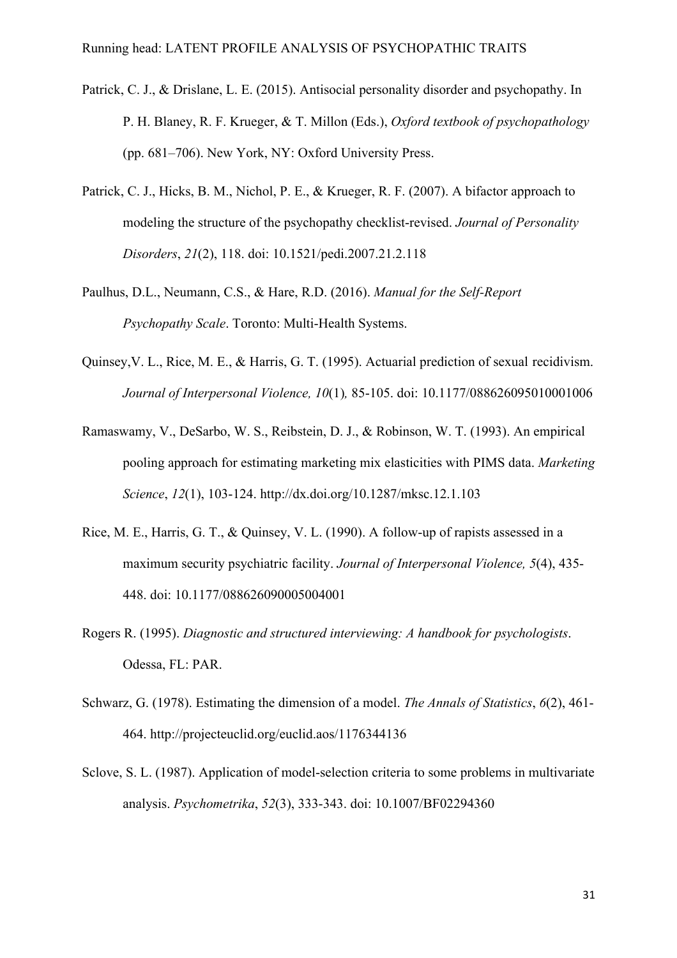- Patrick, C. J., & Drislane, L. E. (2015). Antisocial personality disorder and psychopathy. In P. H. Blaney, R. F. Krueger, & T. Millon (Eds.), *Oxford textbook of psychopathology*  (pp. 681–706). New York, NY: Oxford University Press.
- Patrick, C. J., Hicks, B. M., Nichol, P. E., & Krueger, R. F. (2007). A bifactor approach to modeling the structure of the psychopathy checklist-revised. *Journal of Personality Disorders*, *21*(2), 118. doi: 10.1521/pedi.2007.21.2.118
- Paulhus, D.L., Neumann, C.S., & Hare, R.D. (2016). *Manual for the Self-Report Psychopathy Scale*. Toronto: Multi-Health Systems.
- Quinsey,V. L., Rice, M. E., & Harris, G. T. (1995). Actuarial prediction of sexual recidivism. *Journal of Interpersonal Violence, 10*(1)*,* 85-105. doi: 10.1177/088626095010001006
- Ramaswamy, V., DeSarbo, W. S., Reibstein, D. J., & Robinson, W. T. (1993). An empirical pooling approach for estimating marketing mix elasticities with PIMS data. *Marketing Science*, *12*(1), 103-124. http://dx.doi.org/10.1287/mksc.12.1.103
- Rice, M. E., Harris, G. T., & Quinsey, V. L. (1990). A follow-up of rapists assessed in a maximum security psychiatric facility. *Journal of Interpersonal Violence, 5*(4), 435- 448. doi: 10.1177/088626090005004001
- Rogers R. (1995). *Diagnostic and structured interviewing: A handbook for psychologists*. Odessa, FL: PAR.
- Schwarz, G. (1978). Estimating the dimension of a model. *The Annals of Statistics*, *6*(2), 461- 464. http://projecteuclid.org/euclid.aos/1176344136
- Sclove, S. L. (1987). Application of model-selection criteria to some problems in multivariate analysis. *Psychometrika*, *52*(3), 333-343. doi: 10.1007/BF02294360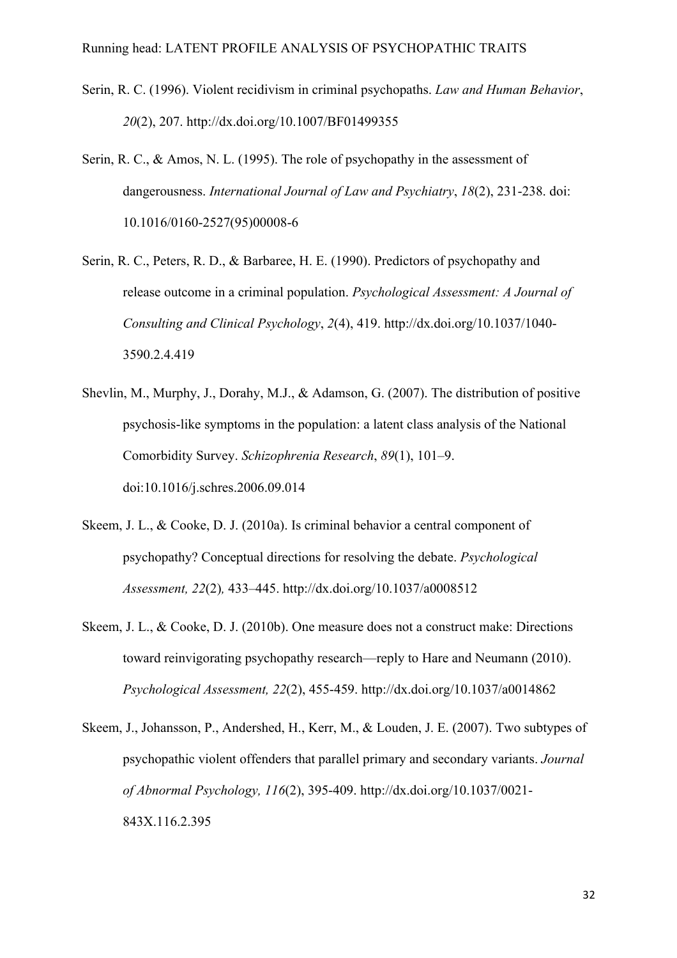- Serin, R. C. (1996). Violent recidivism in criminal psychopaths. *Law and Human Behavior*, *20*(2), 207. http://dx.doi.org/10.1007/BF01499355
- Serin, R. C., & Amos, N. L. (1995). The role of psychopathy in the assessment of dangerousness. *International Journal of Law and Psychiatry*, *18*(2), 231-238. doi: 10.1016/0160-2527(95)00008-6
- Serin, R. C., Peters, R. D., & Barbaree, H. E. (1990). Predictors of psychopathy and release outcome in a criminal population. *Psychological Assessment: A Journal of Consulting and Clinical Psychology*, *2*(4), 419. http://dx.doi.org/10.1037/1040- 3590.2.4.419
- Shevlin, M., Murphy, J., Dorahy, M.J., & Adamson, G. (2007). The distribution of positive psychosis-like symptoms in the population: a latent class analysis of the National Comorbidity Survey. *Schizophrenia Research*, *89*(1), 101–9. doi:10.1016/j.schres.2006.09.014
- Skeem, J. L., & Cooke, D. J. (2010a). Is criminal behavior a central component of psychopathy? Conceptual directions for resolving the debate. *Psychological Assessment, 22*(2)*,* 433–445. http://dx.doi.org/10.1037/a0008512
- Skeem, J. L., & Cooke, D. J. (2010b). One measure does not a construct make: Directions toward reinvigorating psychopathy research—reply to Hare and Neumann (2010). *Psychological Assessment, 22*(2), 455-459. http://dx.doi.org/10.1037/a0014862
- Skeem, J., Johansson, P., Andershed, H., Kerr, M., & Louden, J. E. (2007). Two subtypes of psychopathic violent offenders that parallel primary and secondary variants. *Journal of Abnormal Psychology, 116*(2), 395-409. http://dx.doi.org/10.1037/0021- 843X.116.2.395